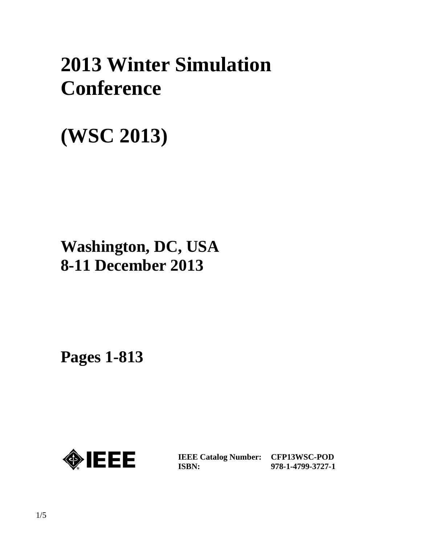# **2013 Winter Simulation Conference**

# **(WSC 2013)**

# **Washington, DC, USA 8-11 December 2013**

**Pages 1-813** 



**IEEE Catalog Number: CFP13WSC-POD ISBN:** 

**978-1-4799-3727-1**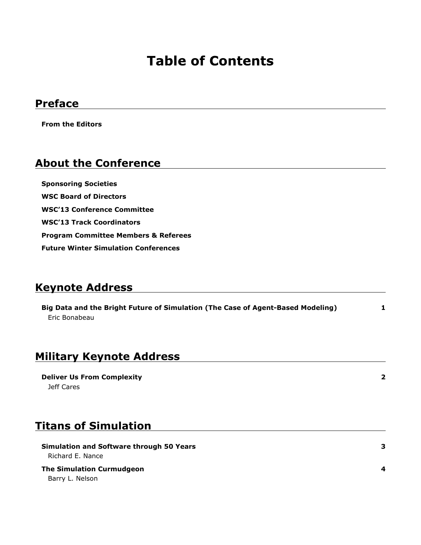## **Table of Contents**

### **Preface**

**From the Editors**

### **About the Conference**

**Sponsoring Societies WSC Board of Directors WSC'13 Conference Committee WSC'13 Track Coordinators Program Committee Members & Referees Future Winter Simulation Conferences**

### **Keynote Address**

**1 Big Data and the Bright Future of Simulation (The Case of Agent-Based Modeling)** Eric Bonabeau

### **Military Keynote Address**

**Deliver Us From Complexity** Jeff Cares

### **Titans of Simulation**

**Simulation and Software through 50 Years** Richard E. Nance

**The Simulation Curmudgeon** Barry L. Nelson

**3**

**2**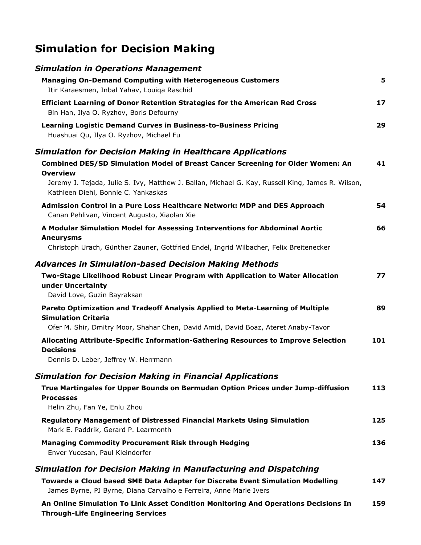## **Simulation for Decision Making**

| <b>Simulation in Operations Management</b>                                                                                                           |     |
|------------------------------------------------------------------------------------------------------------------------------------------------------|-----|
| <b>Managing On-Demand Computing with Heterogeneous Customers</b><br>Itir Karaesmen, Inbal Yahav, Louiqa Raschid                                      | 5   |
| <b>Efficient Learning of Donor Retention Strategies for the American Red Cross</b><br>Bin Han, Ilya O. Ryzhov, Boris Defourny                        | 17  |
| <b>Learning Logistic Demand Curves in Business-to-Business Pricing</b><br>Huashuai Qu, Ilya O. Ryzhov, Michael Fu                                    | 29  |
| Simulation for Decision Making in Healthcare Applications                                                                                            |     |
| Combined DES/SD Simulation Model of Breast Cancer Screening for Older Women: An<br><b>Overview</b>                                                   | 41  |
| Jeremy J. Tejada, Julie S. Ivy, Matthew J. Ballan, Michael G. Kay, Russell King, James R. Wilson,<br>Kathleen Diehl, Bonnie C. Yankaskas             |     |
| Admission Control in a Pure Loss Healthcare Network: MDP and DES Approach<br>Canan Pehlivan, Vincent Augusto, Xiaolan Xie                            | 54  |
| A Modular Simulation Model for Assessing Interventions for Abdominal Aortic                                                                          | 66  |
| <b>Aneurysms</b><br>Christoph Urach, Günther Zauner, Gottfried Endel, Ingrid Wilbacher, Felix Breitenecker                                           |     |
| <b>Advances in Simulation-based Decision Making Methods</b>                                                                                          |     |
| Two-Stage Likelihood Robust Linear Program with Application to Water Allocation<br>under Uncertainty<br>David Love, Guzin Bayraksan                  | 77  |
| Pareto Optimization and Tradeoff Analysis Applied to Meta-Learning of Multiple                                                                       | 89  |
| <b>Simulation Criteria</b><br>Ofer M. Shir, Dmitry Moor, Shahar Chen, David Amid, David Boaz, Ateret Anaby-Tavor                                     |     |
| Allocating Attribute-Specific Information-Gathering Resources to Improve Selection<br><b>Decisions</b>                                               | 101 |
| Dennis D. Leber, Jeffrey W. Herrmann                                                                                                                 |     |
| <b>Simulation for Decision Making in Financial Applications</b>                                                                                      |     |
| True Martingales for Upper Bounds on Bermudan Option Prices under Jump-diffusion<br><b>Processes</b>                                                 | 113 |
| Helin Zhu, Fan Ye, Enlu Zhou                                                                                                                         | 125 |
| <b>Regulatory Management of Distressed Financial Markets Using Simulation</b><br>Mark E. Paddrik, Gerard P. Learmonth                                |     |
| <b>Managing Commodity Procurement Risk through Hedging</b><br>Enver Yucesan, Paul Kleindorfer                                                        | 136 |
| Simulation for Decision Making in Manufacturing and Dispatching                                                                                      |     |
| Towards a Cloud based SME Data Adapter for Discrete Event Simulation Modelling<br>James Byrne, PJ Byrne, Diana Carvalho e Ferreira, Anne Marie Ivers | 147 |
| An Online Simulation To Link Asset Condition Monitoring And Operations Decisions In                                                                  | 159 |

**Through-Life Engineering Services**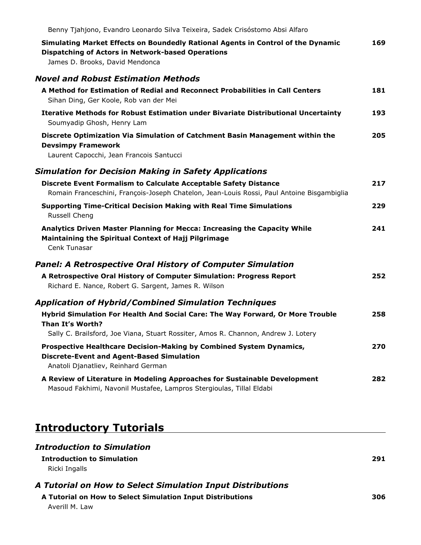| Benny Tjahjono, Evandro Leonardo Silva Teixeira, Sadek Crisóstomo Absi Alfaro                                                                                                   |     |
|---------------------------------------------------------------------------------------------------------------------------------------------------------------------------------|-----|
| Simulating Market Effects on Boundedly Rational Agents in Control of the Dynamic<br><b>Dispatching of Actors in Network-based Operations</b><br>James D. Brooks, David Mendonca | 169 |
| <b>Novel and Robust Estimation Methods</b>                                                                                                                                      |     |
| A Method for Estimation of Redial and Reconnect Probabilities in Call Centers<br>Sihan Ding, Ger Koole, Rob van der Mei                                                         | 181 |
| <b>Iterative Methods for Robust Estimation under Bivariate Distributional Uncertainty</b><br>Soumyadip Ghosh, Henry Lam                                                         | 193 |
| Discrete Optimization Via Simulation of Catchment Basin Management within the<br><b>Devsimpy Framework</b><br>Laurent Capocchi, Jean Francois Santucci                          | 205 |
| <b>Simulation for Decision Making in Safety Applications</b>                                                                                                                    |     |
| Discrete Event Formalism to Calculate Acceptable Safety Distance<br>Romain Franceschini, François-Joseph Chatelon, Jean-Louis Rossi, Paul Antoine Bisgambiglia                  | 217 |
| <b>Supporting Time-Critical Decision Making with Real Time Simulations</b><br>Russell Cheng                                                                                     | 229 |
| Analytics Driven Master Planning for Mecca: Increasing the Capacity While<br><b>Maintaining the Spiritual Context of Hajj Pilgrimage</b><br>Cenk Tunasar                        | 241 |
| <b>Panel: A Retrospective Oral History of Computer Simulation</b>                                                                                                               |     |
| A Retrospective Oral History of Computer Simulation: Progress Report<br>Richard E. Nance, Robert G. Sargent, James R. Wilson                                                    | 252 |
| <b>Application of Hybrid/Combined Simulation Techniques</b>                                                                                                                     |     |
| Hybrid Simulation For Health And Social Care: The Way Forward, Or More Trouble<br>Than It's Worth?                                                                              | 258 |
| Sally C. Brailsford, Joe Viana, Stuart Rossiter, Amos R. Channon, Andrew J. Lotery                                                                                              |     |
| Prospective Healthcare Decision-Making by Combined System Dynamics,<br><b>Discrete-Event and Agent-Based Simulation</b><br>Anatoli Djanatliev, Reinhard German                  | 270 |
| A Review of Literature in Modeling Approaches for Sustainable Development<br>Masoud Fakhimi, Navonil Mustafee, Lampros Stergioulas, Tillal Eldabi                               | 282 |

## **Introductory Tutorials**

### *Introduction to Simulation*

#### **Introduction to Simulation** Ricki Ingalls

**291**

#### *A Tutorial on How to Select Simulation Input Distributions*

**A Tutorial on How to Select Simulation Input Distributions** Averill M. Law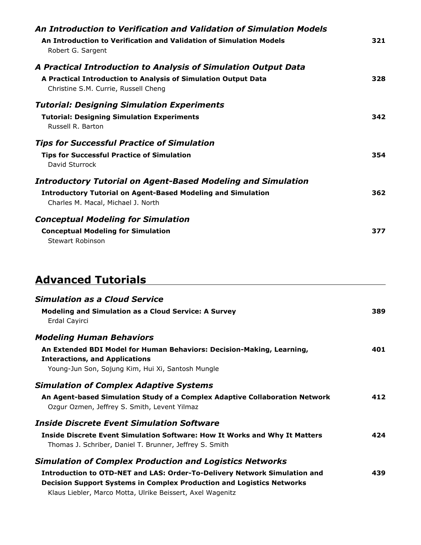| An Introduction to Verification and Validation of Simulation Models<br>An Introduction to Verification and Validation of Simulation Models<br>Robert G. Sargent                  | 321 |
|----------------------------------------------------------------------------------------------------------------------------------------------------------------------------------|-----|
| A Practical Introduction to Analysis of Simulation Output Data<br>A Practical Introduction to Analysis of Simulation Output Data<br>Christine S.M. Currie, Russell Cheng         | 328 |
| <b>Tutorial: Designing Simulation Experiments</b><br><b>Tutorial: Designing Simulation Experiments</b><br>Russell R. Barton                                                      | 342 |
| <b>Tips for Successful Practice of Simulation</b><br><b>Tips for Successful Practice of Simulation</b><br>David Sturrock                                                         | 354 |
| <b>Introductory Tutorial on Agent-Based Modeling and Simulation</b><br><b>Introductory Tutorial on Agent-Based Modeling and Simulation</b><br>Charles M. Macal, Michael J. North | 362 |
| <b>Conceptual Modeling for Simulation</b><br><b>Conceptual Modeling for Simulation</b><br>Stewart Robinson                                                                       | 377 |

## **Advanced Tutorials**

| <b>Simulation as a Cloud Service</b><br><b>Modeling and Simulation as a Cloud Service: A Survey</b><br>Erdal Cayirci                                                                                                                                                                             | 389 |
|--------------------------------------------------------------------------------------------------------------------------------------------------------------------------------------------------------------------------------------------------------------------------------------------------|-----|
| <b>Modeling Human Behaviors</b><br>An Extended BDI Model for Human Behaviors: Decision-Making, Learning,<br><b>Interactions, and Applications</b><br>Young-Jun Son, Sojung Kim, Hui Xi, Santosh Mungle                                                                                           | 401 |
| <b>Simulation of Complex Adaptive Systems</b><br>An Agent-based Simulation Study of a Complex Adaptive Collaboration Network<br>Ozgur Ozmen, Jeffrey S. Smith, Levent Yilmaz                                                                                                                     | 412 |
| <b>Inside Discrete Event Simulation Software</b><br><b>Inside Discrete Event Simulation Software: How It Works and Why It Matters</b><br>Thomas J. Schriber, Daniel T. Brunner, Jeffrey S. Smith                                                                                                 | 424 |
| <b>Simulation of Complex Production and Logistics Networks</b><br><b>Introduction to OTD-NET and LAS: Order-To-Delivery Network Simulation and</b><br><b>Decision Support Systems in Complex Production and Logistics Networks</b><br>Klaus Liebler, Marco Motta, Ulrike Beissert, Axel Wagenitz | 439 |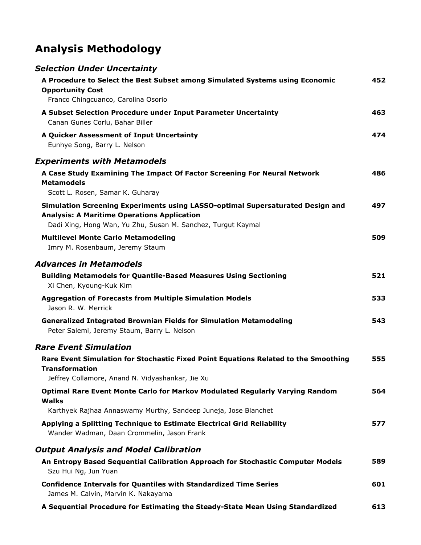## **Analysis Methodology**

| <b>Selection Under Uncertainty</b>                                                                                                                                                                   |     |
|------------------------------------------------------------------------------------------------------------------------------------------------------------------------------------------------------|-----|
| A Procedure to Select the Best Subset among Simulated Systems using Economic<br><b>Opportunity Cost</b>                                                                                              | 452 |
| Franco Chingcuanco, Carolina Osorio                                                                                                                                                                  |     |
| A Subset Selection Procedure under Input Parameter Uncertainty<br>Canan Gunes Corlu, Bahar Biller                                                                                                    | 463 |
| A Quicker Assessment of Input Uncertainty<br>Eunhye Song, Barry L. Nelson                                                                                                                            | 474 |
| <b>Experiments with Metamodels</b>                                                                                                                                                                   |     |
| A Case Study Examining The Impact Of Factor Screening For Neural Network<br><b>Metamodels</b>                                                                                                        | 486 |
| Scott L. Rosen, Samar K. Guharay                                                                                                                                                                     |     |
| Simulation Screening Experiments using LASSO-optimal Supersaturated Design and<br><b>Analysis: A Maritime Operations Application</b><br>Dadi Xing, Hong Wan, Yu Zhu, Susan M. Sanchez, Turgut Kaymal | 497 |
| <b>Multilevel Monte Carlo Metamodeling</b><br>Imry M. Rosenbaum, Jeremy Staum                                                                                                                        | 509 |
| <b>Advances in Metamodels</b>                                                                                                                                                                        |     |
| <b>Building Metamodels for Quantile-Based Measures Using Sectioning</b><br>Xi Chen, Kyoung-Kuk Kim                                                                                                   | 521 |
| <b>Aggregation of Forecasts from Multiple Simulation Models</b><br>Jason R. W. Merrick                                                                                                               | 533 |
| <b>Generalized Integrated Brownian Fields for Simulation Metamodeling</b><br>Peter Salemi, Jeremy Staum, Barry L. Nelson                                                                             | 543 |
| <b>Rare Event Simulation</b>                                                                                                                                                                         |     |
| Rare Event Simulation for Stochastic Fixed Point Equations Related to the Smoothing<br><b>Transformation</b>                                                                                         | 555 |
| Jeffrey Collamore, Anand N. Vidyashankar, Jie Xu                                                                                                                                                     |     |
| <b>Optimal Rare Event Monte Carlo for Markov Modulated Regularly Varying Random</b><br>Walks                                                                                                         | 564 |
| Karthyek Rajhaa Annaswamy Murthy, Sandeep Juneja, Jose Blanchet                                                                                                                                      |     |
| Applying a Splitting Technique to Estimate Electrical Grid Reliability<br>Wander Wadman, Daan Crommelin, Jason Frank                                                                                 | 577 |
| <b>Output Analysis and Model Calibration</b>                                                                                                                                                         |     |
| An Entropy Based Sequential Calibration Approach for Stochastic Computer Models<br>Szu Hui Ng, Jun Yuan                                                                                              | 589 |
| <b>Confidence Intervals for Quantiles with Standardized Time Series</b><br>James M. Calvin, Marvin K. Nakayama                                                                                       | 601 |
| A Sequential Procedure for Estimating the Steady-State Mean Using Standardized                                                                                                                       | 613 |

<u> 1989 - Johann Barbara, martxa amerikan per</u>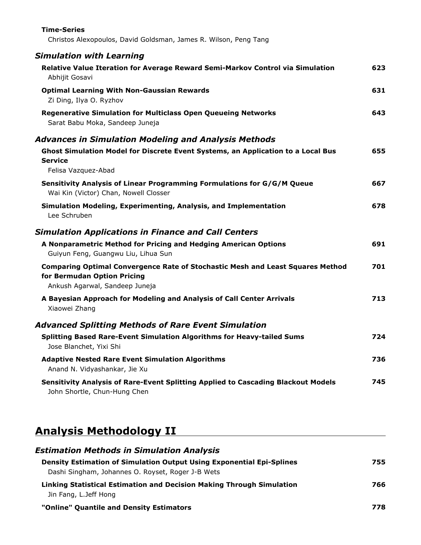| <b>Time-Series</b><br>Christos Alexopoulos, David Goldsman, James R. Wilson, Peng Tang                                                                 |     |
|--------------------------------------------------------------------------------------------------------------------------------------------------------|-----|
| <b>Simulation with Learning</b>                                                                                                                        |     |
| Relative Value Iteration for Average Reward Semi-Markov Control via Simulation<br>Abhijit Gosavi                                                       | 623 |
| <b>Optimal Learning With Non-Gaussian Rewards</b><br>Zi Ding, Ilya O. Ryzhov                                                                           | 631 |
| <b>Regenerative Simulation for Multiclass Open Queueing Networks</b><br>Sarat Babu Moka, Sandeep Juneja                                                | 643 |
| <b>Advances in Simulation Modeling and Analysis Methods</b>                                                                                            |     |
| Ghost Simulation Model for Discrete Event Systems, an Application to a Local Bus<br><b>Service</b><br>Felisa Vazquez-Abad                              | 655 |
| Sensitivity Analysis of Linear Programming Formulations for G/G/M Queue<br>Wai Kin (Victor) Chan, Nowell Closser                                       | 667 |
| Simulation Modeling, Experimenting, Analysis, and Implementation<br>Lee Schruben                                                                       | 678 |
| <b>Simulation Applications in Finance and Call Centers</b>                                                                                             |     |
| A Nonparametric Method for Pricing and Hedging American Options<br>Guiyun Feng, Guangwu Liu, Lihua Sun                                                 | 691 |
| <b>Comparing Optimal Convergence Rate of Stochastic Mesh and Least Squares Method</b><br>for Bermudan Option Pricing<br>Ankush Agarwal, Sandeep Juneja | 701 |
| A Bayesian Approach for Modeling and Analysis of Call Center Arrivals<br>Xiaowei Zhang                                                                 | 713 |
| <b>Advanced Splitting Methods of Rare Event Simulation</b>                                                                                             |     |
| <b>Splitting Based Rare-Event Simulation Algorithms for Heavy-tailed Sums</b><br>Jose Blanchet, Yixi Shi                                               | 724 |
| <b>Adaptive Nested Rare Event Simulation Algorithms</b><br>Anand N. Vidyashankar, Jie Xu                                                               | 736 |
| Sensitivity Analysis of Rare-Event Splitting Applied to Cascading Blackout Models<br>John Shortle, Chun-Hung Chen                                      | 745 |

# **Analysis Methodology II**

| <b>Estimation Methods in Simulation Analysis</b>                                                                                  |     |
|-----------------------------------------------------------------------------------------------------------------------------------|-----|
| <b>Density Estimation of Simulation Output Using Exponential Epi-Splines</b><br>Dashi Singham, Johannes O. Royset, Roger J-B Wets | 755 |
| Linking Statistical Estimation and Decision Making Through Simulation<br>Jin Fang, L.Jeff Hong                                    | 766 |
| "Online" Quantile and Density Estimators                                                                                          | 778 |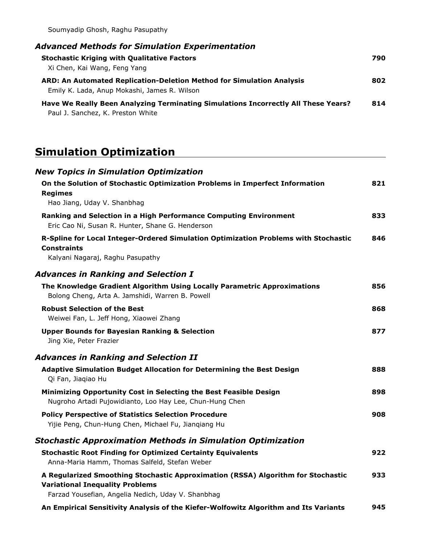Soumyadip Ghosh, Raghu Pasupathy

| <b>Advanced Methods for Simulation Experimentation</b>                                                                  |     |
|-------------------------------------------------------------------------------------------------------------------------|-----|
| <b>Stochastic Kriging with Qualitative Factors</b><br>Xi Chen, Kai Wang, Feng Yang                                      | 790 |
| ARD: An Automated Replication-Deletion Method for Simulation Analysis<br>Emily K. Lada, Anup Mokashi, James R. Wilson   | 802 |
| Have We Really Been Analyzing Terminating Simulations Incorrectly All These Years?<br>Paul J. Sanchez, K. Preston White | 814 |

## **Simulation Optimization**

| <b>New Topics in Simulation Optimization</b>                                                                                  |     |
|-------------------------------------------------------------------------------------------------------------------------------|-----|
| On the Solution of Stochastic Optimization Problems in Imperfect Information<br><b>Regimes</b>                                | 821 |
| Hao Jiang, Uday V. Shanbhag                                                                                                   |     |
| Ranking and Selection in a High Performance Computing Environment<br>Eric Cao Ni, Susan R. Hunter, Shane G. Henderson         | 833 |
| R-Spline for Local Integer-Ordered Simulation Optimization Problems with Stochastic<br><b>Constraints</b>                     | 846 |
| Kalyani Nagaraj, Raghu Pasupathy                                                                                              |     |
| <b>Advances in Ranking and Selection I</b>                                                                                    |     |
| The Knowledge Gradient Algorithm Using Locally Parametric Approximations<br>Bolong Cheng, Arta A. Jamshidi, Warren B. Powell  | 856 |
| <b>Robust Selection of the Best</b><br>Weiwei Fan, L. Jeff Hong, Xiaowei Zhang                                                | 868 |
| <b>Upper Bounds for Bayesian Ranking &amp; Selection</b><br>Jing Xie, Peter Frazier                                           | 877 |
| <b>Advances in Ranking and Selection II</b>                                                                                   |     |
| <b>Adaptive Simulation Budget Allocation for Determining the Best Design</b><br>Qi Fan, Jiaqiao Hu                            | 888 |
| Minimizing Opportunity Cost in Selecting the Best Feasible Design<br>Nugroho Artadi Pujowidianto, Loo Hay Lee, Chun-Hung Chen | 898 |
| <b>Policy Perspective of Statistics Selection Procedure</b><br>Yijie Peng, Chun-Hung Chen, Michael Fu, Jianqiang Hu           | 908 |
| <b>Stochastic Approximation Methods in Simulation Optimization</b>                                                            |     |
| <b>Stochastic Root Finding for Optimized Certainty Equivalents</b><br>Anna-Maria Hamm, Thomas Salfeld, Stefan Weber           | 922 |
| A Regularized Smoothing Stochastic Approximation (RSSA) Algorithm for Stochastic<br><b>Variational Inequality Problems</b>    | 933 |
| Farzad Yousefian, Angelia Nedich, Uday V. Shanbhag                                                                            |     |
| An Empirical Sensitivity Analysis of the Kiefer-Wolfowitz Algorithm and Its Variants                                          | 945 |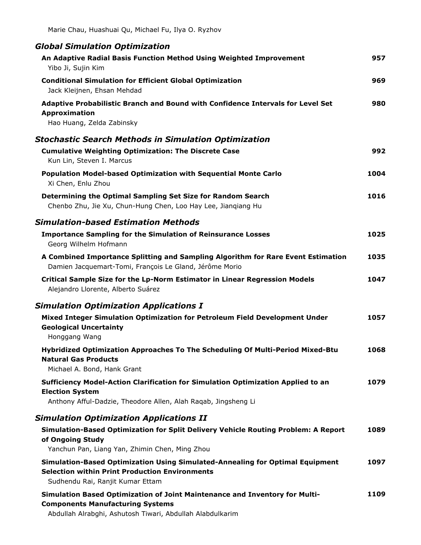| <b>Global Simulation Optimization</b>                                                                                                                                               |      |
|-------------------------------------------------------------------------------------------------------------------------------------------------------------------------------------|------|
| An Adaptive Radial Basis Function Method Using Weighted Improvement<br>Yibo Ji, Sujin Kim                                                                                           | 957  |
| <b>Conditional Simulation for Efficient Global Optimization</b><br>Jack Kleijnen, Ehsan Mehdad                                                                                      | 969  |
| Adaptive Probabilistic Branch and Bound with Confidence Intervals for Level Set<br>Approximation<br>Hao Huang, Zelda Zabinsky                                                       | 980  |
| <b>Stochastic Search Methods in Simulation Optimization</b>                                                                                                                         |      |
| <b>Cumulative Weighting Optimization: The Discrete Case</b><br>Kun Lin, Steven I. Marcus                                                                                            | 992  |
| <b>Population Model-based Optimization with Sequential Monte Carlo</b><br>Xi Chen, Enlu Zhou                                                                                        | 1004 |
| Determining the Optimal Sampling Set Size for Random Search<br>Chenbo Zhu, Jie Xu, Chun-Hung Chen, Loo Hay Lee, Jianqiang Hu                                                        | 1016 |
| <b>Simulation-based Estimation Methods</b>                                                                                                                                          |      |
| <b>Importance Sampling for the Simulation of Reinsurance Losses</b><br>Georg Wilhelm Hofmann                                                                                        | 1025 |
| A Combined Importance Splitting and Sampling Algorithm for Rare Event Estimation<br>Damien Jacquemart-Tomi, François Le Gland, Jérôme Morio                                         | 1035 |
| Critical Sample Size for the Lp-Norm Estimator in Linear Regression Models<br>Alejandro Llorente, Alberto Suárez                                                                    | 1047 |
| <b>Simulation Optimization Applications I</b>                                                                                                                                       |      |
| Mixed Integer Simulation Optimization for Petroleum Field Development Under<br><b>Geological Uncertainty</b><br>Honggang Wang                                                       | 1057 |
| Hybridized Optimization Approaches To The Scheduling Of Multi-Period Mixed-Btu<br><b>Natural Gas Products</b><br>Michael A. Bond, Hank Grant                                        | 1068 |
| Sufficiency Model-Action Clarification for Simulation Optimization Applied to an<br><b>Election System</b><br>Anthony Afful-Dadzie, Theodore Allen, Alah Raqab, Jingsheng Li        | 1079 |
| <b>Simulation Optimization Applications II</b>                                                                                                                                      |      |
| Simulation-Based Optimization for Split Delivery Vehicle Routing Problem: A Report<br>of Ongoing Study<br>Yanchun Pan, Liang Yan, Zhimin Chen, Ming Zhou                            | 1089 |
| Simulation-Based Optimization Using Simulated-Annealing for Optimal Equipment<br><b>Selection within Print Production Environments</b><br>Sudhendu Rai, Ranjit Kumar Ettam          | 1097 |
| Simulation Based Optimization of Joint Maintenance and Inventory for Multi-<br><b>Components Manufacturing Systems</b><br>Abdullah Almababi, Achutoch Tiwari, Abdullah Alabdulkarim | 1109 |

Abdullah Alrabghi, Ashutosh Tiwari, Abdullah Alabdulkarim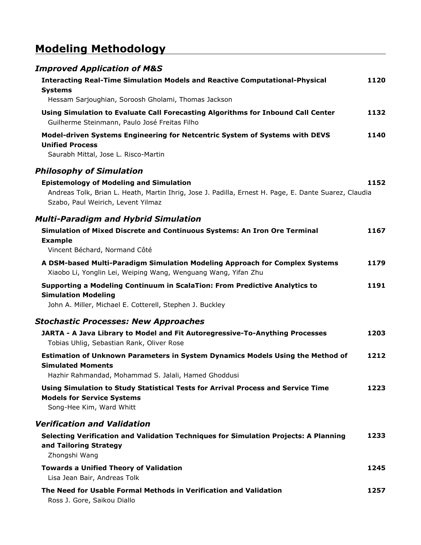## **Modeling Methodology**

| <b>Improved Application of M&amp;S</b>                                                                                                                                                        |      |
|-----------------------------------------------------------------------------------------------------------------------------------------------------------------------------------------------|------|
| <b>Interacting Real-Time Simulation Models and Reactive Computational-Physical</b><br><b>Systems</b>                                                                                          | 1120 |
| Hessam Sarjoughian, Soroosh Gholami, Thomas Jackson                                                                                                                                           |      |
| Using Simulation to Evaluate Call Forecasting Algorithms for Inbound Call Center<br>Guilherme Steinmann, Paulo José Freitas Filho                                                             | 1132 |
| Model-driven Systems Engineering for Netcentric System of Systems with DEVS<br><b>Unified Process</b><br>Saurabh Mittal, Jose L. Risco-Martin                                                 | 1140 |
| <b>Philosophy of Simulation</b>                                                                                                                                                               |      |
| <b>Epistemology of Modeling and Simulation</b><br>Andreas Tolk, Brian L. Heath, Martin Ihrig, Jose J. Padilla, Ernest H. Page, E. Dante Suarez, Claudia<br>Szabo, Paul Weirich, Levent Yilmaz | 1152 |
| <b>Multi-Paradigm and Hybrid Simulation</b>                                                                                                                                                   |      |
| Simulation of Mixed Discrete and Continuous Systems: An Iron Ore Terminal<br><b>Example</b><br>Vincent Béchard, Normand Côté                                                                  | 1167 |
| A DSM-based Multi-Paradigm Simulation Modeling Approach for Complex Systems<br>Xiaobo Li, Yonglin Lei, Weiping Wang, Wenguang Wang, Yifan Zhu                                                 | 1179 |
| Supporting a Modeling Continuum in ScalaTion: From Predictive Analytics to<br><b>Simulation Modeling</b><br>John A. Miller, Michael E. Cotterell, Stephen J. Buckley                          | 1191 |
| <b>Stochastic Processes: New Approaches</b>                                                                                                                                                   |      |
| JARTA - A Java Library to Model and Fit Autoregressive-To-Anything Processes<br>Tobias Uhlig, Sebastian Rank, Oliver Rose                                                                     | 1203 |
| Estimation of Unknown Parameters in System Dynamics Models Using the Method of<br><b>Simulated Moments</b>                                                                                    | 1212 |
| Hazhir Rahmandad, Mohammad S. Jalali, Hamed Ghoddusi                                                                                                                                          |      |
| Using Simulation to Study Statistical Tests for Arrival Process and Service Time<br><b>Models for Service Systems</b><br>Song-Hee Kim, Ward Whitt                                             | 1223 |
| <b>Verification and Validation</b>                                                                                                                                                            |      |
| Selecting Verification and Validation Techniques for Simulation Projects: A Planning<br>and Tailoring Strategy<br>Zhongshi Wang                                                               | 1233 |
| <b>Towards a Unified Theory of Validation</b><br>Lisa Jean Bair, Andreas Tolk                                                                                                                 | 1245 |
| The Need for Usable Formal Methods in Verification and Validation<br>Ross J. Gore, Saikou Diallo                                                                                              | 1257 |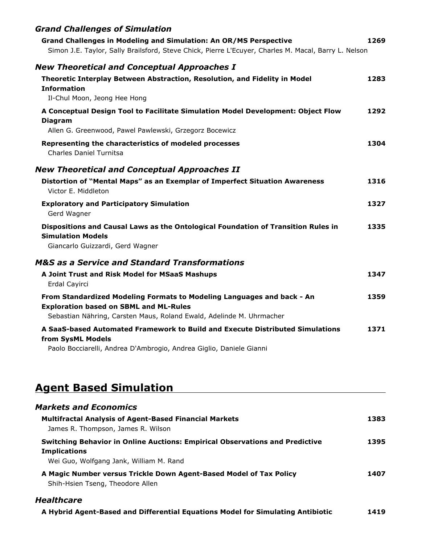| <b>Grand Challenges of Simulation</b>                                                                                   |      |
|-------------------------------------------------------------------------------------------------------------------------|------|
| <b>Grand Challenges in Modeling and Simulation: An OR/MS Perspective</b>                                                | 1269 |
| Simon J.E. Taylor, Sally Brailsford, Steve Chick, Pierre L'Ecuyer, Charles M. Macal, Barry L. Nelson                    |      |
| <b>New Theoretical and Conceptual Approaches I</b>                                                                      |      |
| Theoretic Interplay Between Abstraction, Resolution, and Fidelity in Model<br><b>Information</b>                        | 1283 |
| Il-Chul Moon, Jeong Hee Hong                                                                                            |      |
| A Conceptual Design Tool to Facilitate Simulation Model Development: Object Flow<br><b>Diagram</b>                      | 1292 |
| Allen G. Greenwood, Pawel Pawlewski, Grzegorz Bocewicz                                                                  |      |
| Representing the characteristics of modeled processes<br><b>Charles Daniel Turnitsa</b>                                 | 1304 |
| <b>New Theoretical and Conceptual Approaches II</b>                                                                     |      |
| Distortion of "Mental Maps" as an Exemplar of Imperfect Situation Awareness<br>Victor E. Middleton                      | 1316 |
| <b>Exploratory and Participatory Simulation</b><br>Gerd Wagner                                                          | 1327 |
| Dispositions and Causal Laws as the Ontological Foundation of Transition Rules in<br><b>Simulation Models</b>           | 1335 |
| Giancarlo Guizzardi, Gerd Wagner                                                                                        |      |
| <b>M&amp;S</b> as a Service and Standard Transformations                                                                |      |
| A Joint Trust and Risk Model for MSaaS Mashups<br>Erdal Cayirci                                                         | 1347 |
| From Standardized Modeling Formats to Modeling Languages and back - An<br><b>Exploration based on SBML and ML-Rules</b> | 1359 |
| Sebastian Nähring, Carsten Maus, Roland Ewald, Adelinde M. Uhrmacher                                                    |      |
| A SaaS-based Automated Framework to Build and Execute Distributed Simulations<br>from SysML Models                      | 1371 |
| Paolo Bocciarelli, Andrea D'Ambrogio, Andrea Giglio, Daniele Gianni                                                     |      |

## **Agent Based Simulation**

| <b>Markets and Economics</b>                                                                                                                          |      |
|-------------------------------------------------------------------------------------------------------------------------------------------------------|------|
| <b>Multifractal Analysis of Agent-Based Financial Markets</b><br>James R. Thompson, James R. Wilson                                                   | 1383 |
| <b>Switching Behavior in Online Auctions: Empirical Observations and Predictive</b><br><b>Implications</b><br>Wei Guo, Wolfgang Jank, William M. Rand | 1395 |
| A Magic Number versus Trickle Down Agent-Based Model of Tax Policy<br>Shih-Hsien Tseng, Theodore Allen                                                | 1407 |

#### *Healthcare*

| A Hybrid Agent-Based and Differential Equations Model for Simulating Antibiotic | 1419 |
|---------------------------------------------------------------------------------|------|
|---------------------------------------------------------------------------------|------|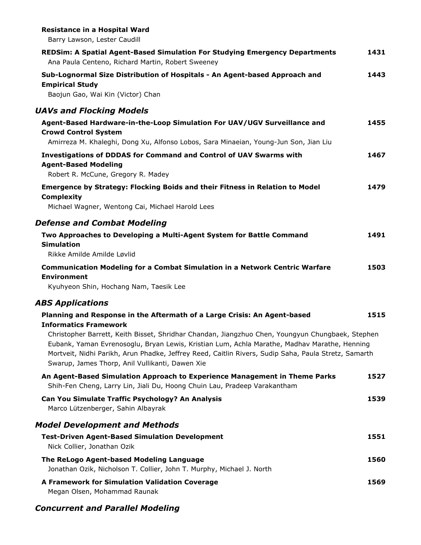| <b>Resistance in a Hospital Ward</b><br>Barry Lawson, Lester Caudill                                                                                                                                                                                                                                                                                        |      |
|-------------------------------------------------------------------------------------------------------------------------------------------------------------------------------------------------------------------------------------------------------------------------------------------------------------------------------------------------------------|------|
| <b>REDSim: A Spatial Agent-Based Simulation For Studying Emergency Departments</b><br>Ana Paula Centeno, Richard Martin, Robert Sweeney                                                                                                                                                                                                                     | 1431 |
| Sub-Lognormal Size Distribution of Hospitals - An Agent-based Approach and<br><b>Empirical Study</b><br>Baojun Gao, Wai Kin (Victor) Chan                                                                                                                                                                                                                   | 1443 |
| <b>UAVs and Flocking Models</b>                                                                                                                                                                                                                                                                                                                             |      |
| Agent-Based Hardware-in-the-Loop Simulation For UAV/UGV Surveillance and<br><b>Crowd Control System</b><br>Amirreza M. Khaleghi, Dong Xu, Alfonso Lobos, Sara Minaeian, Young-Jun Son, Jian Liu                                                                                                                                                             | 1455 |
| <b>Investigations of DDDAS for Command and Control of UAV Swarms with</b><br><b>Agent-Based Modeling</b><br>Robert R. McCune, Gregory R. Madey                                                                                                                                                                                                              | 1467 |
| Emergence by Strategy: Flocking Boids and their Fitness in Relation to Model<br><b>Complexity</b><br>Michael Wagner, Wentong Cai, Michael Harold Lees                                                                                                                                                                                                       | 1479 |
| <b>Defense and Combat Modeling</b>                                                                                                                                                                                                                                                                                                                          |      |
| Two Approaches to Developing a Multi-Agent System for Battle Command<br><b>Simulation</b><br>Rikke Amilde Amilde Løvlid                                                                                                                                                                                                                                     | 1491 |
| <b>Communication Modeling for a Combat Simulation in a Network Centric Warfare</b><br><b>Environment</b><br>Kyuhyeon Shin, Hochang Nam, Taesik Lee                                                                                                                                                                                                          | 1503 |
| <b>ABS Applications</b>                                                                                                                                                                                                                                                                                                                                     |      |
| Planning and Response in the Aftermath of a Large Crisis: An Agent-based<br><b>Informatics Framework</b>                                                                                                                                                                                                                                                    | 1515 |
| Christopher Barrett, Keith Bisset, Shridhar Chandan, Jiangzhuo Chen, Youngyun Chungbaek, Stephen<br>Eubank, Yaman Evrenosoglu, Bryan Lewis, Kristian Lum, Achla Marathe, Madhav Marathe, Henning<br>Mortveit, Nidhi Parikh, Arun Phadke, Jeffrey Reed, Caitlin Rivers, Sudip Saha, Paula Stretz, Samarth<br>Swarup, James Thorp, Anil Vullikanti, Dawen Xie |      |
| An Agent-Based Simulation Approach to Experience Management in Theme Parks<br>Shih-Fen Cheng, Larry Lin, Jiali Du, Hoong Chuin Lau, Pradeep Varakantham                                                                                                                                                                                                     | 1527 |
| Can You Simulate Traffic Psychology? An Analysis<br>Marco Lützenberger, Sahin Albayrak                                                                                                                                                                                                                                                                      | 1539 |
| <b>Model Development and Methods</b>                                                                                                                                                                                                                                                                                                                        |      |
| <b>Test-Driven Agent-Based Simulation Development</b><br>Nick Collier, Jonathan Ozik                                                                                                                                                                                                                                                                        | 1551 |
| The ReLogo Agent-based Modeling Language<br>Jonathan Ozik, Nicholson T. Collier, John T. Murphy, Michael J. North                                                                                                                                                                                                                                           | 1560 |
| A Framework for Simulation Validation Coverage<br>Megan Olsen, Mohammad Raunak                                                                                                                                                                                                                                                                              | 1569 |

#### *Concurrent and Parallel Modeling*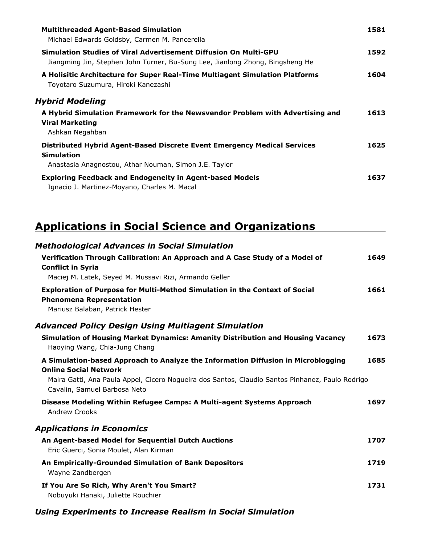| <b>Multithreaded Agent-Based Simulation</b><br>Michael Edwards Goldsby, Carmen M. Pancerella                                                                  | 1581 |
|---------------------------------------------------------------------------------------------------------------------------------------------------------------|------|
| Simulation Studies of Viral Advertisement Diffusion On Multi-GPU<br>Jiangming Jin, Stephen John Turner, Bu-Sung Lee, Jianlong Zhong, Bingsheng He             | 1592 |
| A Holisitic Architecture for Super Real-Time Multiagent Simulation Platforms<br>Toyotaro Suzumura, Hiroki Kanezashi                                           | 1604 |
| Hybrid Modeling<br>A Hybrid Simulation Framework for the Newsvendor Problem with Advertising and<br><b>Viral Marketing</b><br>Ashkan Negahban                 | 1613 |
| <b>Distributed Hybrid Agent-Based Discrete Event Emergency Medical Services</b><br><b>Simulation</b><br>Anastasia Anagnostou, Athar Nouman, Simon J.E. Taylor | 1625 |
| <b>Exploring Feedback and Endogeneity in Agent-based Models</b><br>Ignacio J. Martinez-Moyano, Charles M. Macal                                               | 1637 |

## **Applications in Social Science and Organizations**

| <b>Methodological Advances in Social Simulation</b>                                                                                               |      |
|---------------------------------------------------------------------------------------------------------------------------------------------------|------|
| Verification Through Calibration: An Approach and A Case Study of a Model of<br><b>Conflict in Syria</b>                                          | 1649 |
| Maciej M. Latek, Seyed M. Mussavi Rizi, Armando Geller                                                                                            |      |
| Exploration of Purpose for Multi-Method Simulation in the Context of Social<br><b>Phenomena Representation</b><br>Mariusz Balaban, Patrick Hester | 1661 |
|                                                                                                                                                   |      |
| <b>Advanced Policy Design Using Multiagent Simulation</b>                                                                                         |      |
| Simulation of Housing Market Dynamics: Amenity Distribution and Housing Vacancy<br>Haoying Wang, Chia-Jung Chang                                  | 1673 |
| A Simulation-based Approach to Analyze the Information Diffusion in Microblogging<br><b>Online Social Network</b>                                 | 1685 |
| Maira Gatti, Ana Paula Appel, Cicero Nogueira dos Santos, Claudio Santos Pinhanez, Paulo Rodrigo<br>Cavalin, Samuel Barbosa Neto                  |      |
| Disease Modeling Within Refugee Camps: A Multi-agent Systems Approach<br>Andrew Crooks                                                            | 1697 |
| <b>Applications in Economics</b>                                                                                                                  |      |
| An Agent-based Model for Sequential Dutch Auctions<br>Eric Guerci, Sonia Moulet, Alan Kirman                                                      | 1707 |
| An Empirically-Grounded Simulation of Bank Depositors<br>Wayne Zandbergen                                                                         | 1719 |
| If You Are So Rich, Why Aren't You Smart?<br>Nobuyuki Hanaki, Juliette Rouchier                                                                   | 1731 |

#### *Using Experiments to Increase Realism in Social Simulation*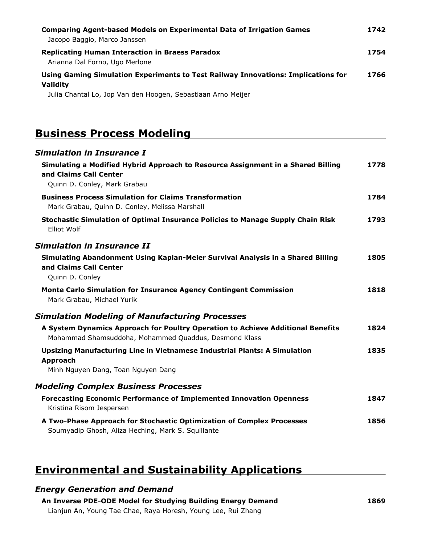| <b>Comparing Agent-based Models on Experimental Data of Irrigation Games</b><br>Jacopo Baggio, Marco Janssen                                                         | 1742 |
|----------------------------------------------------------------------------------------------------------------------------------------------------------------------|------|
| <b>Replicating Human Interaction in Braess Paradox</b><br>Arianna Dal Forno, Ugo Merlone                                                                             | 1754 |
| Using Gaming Simulation Experiments to Test Railway Innovations: Implications for<br><b>Validity</b><br>Julia Chantal Lo, Jop Van den Hoogen, Sebastiaan Arno Meijer | 1766 |

### **Business Process Modeling**

| <b>Simulation in Insurance I</b>                                                                                                         |      |
|------------------------------------------------------------------------------------------------------------------------------------------|------|
| Simulating a Modified Hybrid Approach to Resource Assignment in a Shared Billing<br>and Claims Call Center                               | 1778 |
| Quinn D. Conley, Mark Grabau                                                                                                             |      |
| <b>Business Process Simulation for Claims Transformation</b><br>Mark Grabau, Quinn D. Conley, Melissa Marshall                           | 1784 |
| Stochastic Simulation of Optimal Insurance Policies to Manage Supply Chain Risk<br>Elliot Wolf                                           | 1793 |
| Simulation in Insurance II                                                                                                               |      |
| Simulating Abandonment Using Kaplan-Meier Survival Analysis in a Shared Billing<br>and Claims Call Center<br>Quinn D. Conley             | 1805 |
| Monte Carlo Simulation for Insurance Agency Contingent Commission<br>Mark Grabau, Michael Yurik                                          | 1818 |
| <b>Simulation Modeling of Manufacturing Processes</b>                                                                                    |      |
| A System Dynamics Approach for Poultry Operation to Achieve Additional Benefits<br>Mohammad Shamsuddoha, Mohammed Quaddus, Desmond Klass | 1824 |
| Upsizing Manufacturing Line in Vietnamese Industrial Plants: A Simulation<br>Approach<br>Minh Nguyen Dang, Toan Nguyen Dang              | 1835 |
| <b>Modeling Complex Business Processes</b>                                                                                               |      |
| <b>Forecasting Economic Performance of Implemented Innovation Openness</b><br>Kristina Risom Jespersen                                   | 1847 |
| A Two-Phase Approach for Stochastic Optimization of Complex Processes<br>Soumyadip Ghosh, Aliza Heching, Mark S. Squillante              | 1856 |
|                                                                                                                                          |      |

## **Environmental and Sustainability Applications**

#### *Energy Generation and Demand*

**An Inverse PDE-ODE Model for Studying Building Energy Demand** Lianjun An, Young Tae Chae, Raya Horesh, Young Lee, Rui Zhang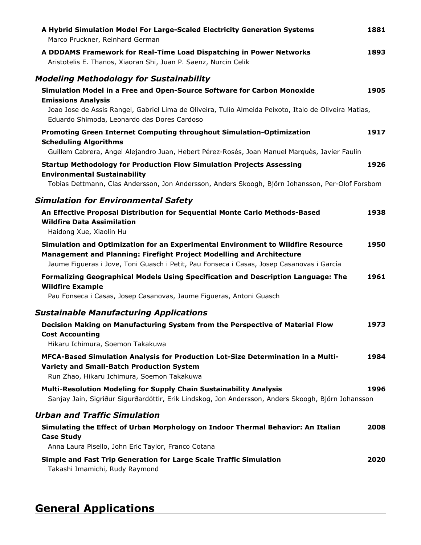| A Hybrid Simulation Model For Large-Scaled Electricity Generation Systems<br>Marco Pruckner, Reinhard German                                                                                                                                           | 1881 |
|--------------------------------------------------------------------------------------------------------------------------------------------------------------------------------------------------------------------------------------------------------|------|
| A DDDAMS Framework for Real-Time Load Dispatching in Power Networks<br>Aristotelis E. Thanos, Xiaoran Shi, Juan P. Saenz, Nurcin Celik                                                                                                                 | 1893 |
| <b>Modeling Methodology for Sustainability</b>                                                                                                                                                                                                         |      |
| Simulation Model in a Free and Open-Source Software for Carbon Monoxide<br><b>Emissions Analysis</b>                                                                                                                                                   | 1905 |
| Joao Jose de Assis Rangel, Gabriel Lima de Oliveira, Tulio Almeida Peixoto, Italo de Oliveira Matias,<br>Eduardo Shimoda, Leonardo das Dores Cardoso                                                                                                   |      |
| Promoting Green Internet Computing throughout Simulation-Optimization<br><b>Scheduling Algorithms</b><br>Guillem Cabrera, Angel Alejandro Juan, Hebert Pérez-Rosés, Joan Manuel Marquès, Javier Faulin                                                 | 1917 |
| <b>Startup Methodology for Production Flow Simulation Projects Assessing</b><br><b>Environmental Sustainability</b>                                                                                                                                    | 1926 |
| Tobias Dettmann, Clas Andersson, Jon Andersson, Anders Skoogh, Björn Johansson, Per-Olof Forsbom                                                                                                                                                       |      |
| <b>Simulation for Environmental Safety</b><br>An Effective Proposal Distribution for Sequential Monte Carlo Methods-Based<br><b>Wildfire Data Assimilation</b><br>Haidong Xue, Xiaolin Hu                                                              | 1938 |
| Simulation and Optimization for an Experimental Environment to Wildfire Resource<br>Management and Planning: Firefight Project Modelling and Architecture<br>Jaume Figueras i Jove, Toni Guasch i Petit, Pau Fonseca i Casas, Josep Casanovas i García | 1950 |
| Formalizing Geographical Models Using Specification and Description Language: The<br><b>Wildfire Example</b><br>Pau Fonseca i Casas, Josep Casanovas, Jaume Figueras, Antoni Guasch                                                                    | 1961 |
| <b>Sustainable Manufacturing Applications</b>                                                                                                                                                                                                          |      |
| Decision Making on Manufacturing System from the Perspective of Material Flow<br><b>Cost Accounting</b><br>Hikaru Ichimura, Soemon Takakuwa                                                                                                            | 1973 |
| MFCA-Based Simulation Analysis for Production Lot-Size Determination in a Multi-<br><b>Variety and Small-Batch Production System</b><br>Run Zhao, Hikaru Ichimura, Soemon Takakuwa                                                                     | 1984 |
| <b>Multi-Resolution Modeling for Supply Chain Sustainability Analysis</b><br>Sanjay Jain, Sigríður Sigurðardóttir, Erik Lindskog, Jon Andersson, Anders Skoogh, Björn Johansson                                                                        | 1996 |
| <b>Urban and Traffic Simulation</b>                                                                                                                                                                                                                    |      |
| Simulating the Effect of Urban Morphology on Indoor Thermal Behavior: An Italian<br><b>Case Study</b>                                                                                                                                                  | 2008 |
| Anna Laura Pisello, John Eric Taylor, Franco Cotana                                                                                                                                                                                                    |      |
| Simple and Fast Trip Generation for Large Scale Traffic Simulation<br>Takashi Imamichi, Rudy Raymond                                                                                                                                                   | 2020 |

## **General Applications**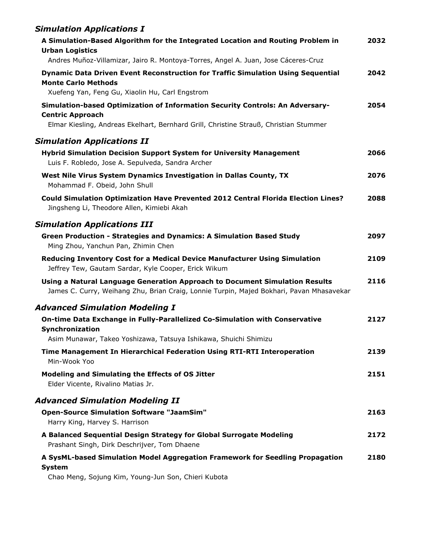### *Simulation Applications I*

| A Simulation-Based Algorithm for the Integrated Location and Routing Problem in<br><b>Urban Logistics</b>                                                                | 2032 |
|--------------------------------------------------------------------------------------------------------------------------------------------------------------------------|------|
| Andres Muñoz-Villamizar, Jairo R. Montoya-Torres, Angel A. Juan, Jose Cáceres-Cruz                                                                                       |      |
| <b>Dynamic Data Driven Event Reconstruction for Traffic Simulation Using Sequential</b><br><b>Monte Carlo Methods</b><br>Xuefeng Yan, Feng Gu, Xiaolin Hu, Carl Engstrom | 2042 |
| Simulation-based Optimization of Information Security Controls: An Adversary-                                                                                            | 2054 |
| <b>Centric Approach</b>                                                                                                                                                  |      |
| Elmar Kiesling, Andreas Ekelhart, Bernhard Grill, Christine Strauß, Christian Stummer                                                                                    |      |
| <b>Simulation Applications II</b>                                                                                                                                        |      |
| <b>Hybrid Simulation Decision Support System for University Management</b><br>Luis F. Robledo, Jose A. Sepulveda, Sandra Archer                                          | 2066 |
| West Nile Virus System Dynamics Investigation in Dallas County, TX<br>Mohammad F. Obeid, John Shull                                                                      | 2076 |
| <b>Could Simulation Optimization Have Prevented 2012 Central Florida Election Lines?</b><br>Jingsheng Li, Theodore Allen, Kimiebi Akah                                   | 2088 |
| <b>Simulation Applications III</b>                                                                                                                                       |      |
| <b>Green Production - Strategies and Dynamics: A Simulation Based Study</b><br>Ming Zhou, Yanchun Pan, Zhimin Chen                                                       | 2097 |
| Reducing Inventory Cost for a Medical Device Manufacturer Using Simulation<br>Jeffrey Tew, Gautam Sardar, Kyle Cooper, Erick Wikum                                       | 2109 |
| Using a Natural Language Generation Approach to Document Simulation Results<br>James C. Curry, Weihang Zhu, Brian Craig, Lonnie Turpin, Majed Bokhari, Pavan Mhasavekar  | 2116 |
| <b>Advanced Simulation Modeling I</b>                                                                                                                                    |      |
| On-time Data Exchange in Fully-Parallelized Co-Simulation with Conservative<br>Synchronization                                                                           | 2127 |
| Asim Munawar, Takeo Yoshizawa, Tatsuya Ishikawa, Shuichi Shimizu                                                                                                         |      |
| Time Management In Hierarchical Federation Using RTI-RTI Interoperation<br>Min-Wook Yoo                                                                                  | 2139 |
| Modeling and Simulating the Effects of OS Jitter<br>Elder Vicente, Rivalino Matias Jr.                                                                                   | 2151 |
| <b>Advanced Simulation Modeling II</b>                                                                                                                                   |      |
| <b>Open-Source Simulation Software "JaamSim"</b><br>Harry King, Harvey S. Harrison                                                                                       | 2163 |
| A Balanced Sequential Design Strategy for Global Surrogate Modeling<br>Prashant Singh, Dirk Deschrijver, Tom Dhaene                                                      | 2172 |
| A SysML-based Simulation Model Aggregation Framework for Seedling Propagation<br><b>System</b><br>Chao Meng, Sojung Kim, Young-Jun Son, Chieri Kubota                    | 2180 |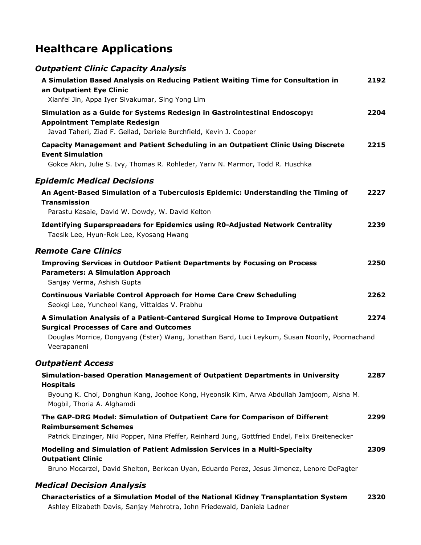## **Healthcare Applications**

| <b>Outpatient Clinic Capacity Analysis</b>                                                                                                                                                                                                         |      |
|----------------------------------------------------------------------------------------------------------------------------------------------------------------------------------------------------------------------------------------------------|------|
| A Simulation Based Analysis on Reducing Patient Waiting Time for Consultation in<br>an Outpatient Eye Clinic<br>Xianfei Jin, Appa Iyer Sivakumar, Sing Yong Lim                                                                                    | 2192 |
| Simulation as a Guide for Systems Redesign in Gastrointestinal Endoscopy:<br><b>Appointment Template Redesign</b><br>Javad Taheri, Ziad F. Gellad, Dariele Burchfield, Kevin J. Cooper                                                             | 2204 |
| Capacity Management and Patient Scheduling in an Outpatient Clinic Using Discrete<br><b>Event Simulation</b><br>Gokce Akin, Julie S. Ivy, Thomas R. Rohleder, Yariv N. Marmor, Todd R. Huschka                                                     | 2215 |
| <b>Epidemic Medical Decisions</b>                                                                                                                                                                                                                  |      |
| An Agent-Based Simulation of a Tuberculosis Epidemic: Understanding the Timing of<br><b>Transmission</b><br>Parastu Kasaie, David W. Dowdy, W. David Kelton                                                                                        | 2227 |
| <b>Identifying Superspreaders for Epidemics using R0-Adjusted Network Centrality</b><br>Taesik Lee, Hyun-Rok Lee, Kyosang Hwang                                                                                                                    | 2239 |
| <b>Remote Care Clinics</b>                                                                                                                                                                                                                         |      |
| <b>Improving Services in Outdoor Patient Departments by Focusing on Process</b><br><b>Parameters: A Simulation Approach</b><br>Sanjay Verma, Ashish Gupta                                                                                          | 2250 |
| <b>Continuous Variable Control Approach for Home Care Crew Scheduling</b><br>Seokgi Lee, Yuncheol Kang, Vittaldas V. Prabhu                                                                                                                        | 2262 |
| A Simulation Analysis of a Patient-Centered Surgical Home to Improve Outpatient<br><b>Surgical Processes of Care and Outcomes</b><br>Douglas Morrice, Dongyang (Ester) Wang, Jonathan Bard, Luci Leykum, Susan Noorily, Poornachand<br>Veerapaneni | 2274 |
| <b>Outpatient Access</b>                                                                                                                                                                                                                           |      |
| Simulation-based Operation Management of Outpatient Departments in University<br><b>Hospitals</b><br>Byoung K. Choi, Donghun Kang, Joohoe Kong, Hyeonsik Kim, Arwa Abdullah Jamjoom, Aisha M.<br>Mogbil, Thoria A. Alghamdi                        | 2287 |
| The GAP-DRG Model: Simulation of Outpatient Care for Comparison of Different<br><b>Reimbursement Schemes</b><br>Patrick Einzinger, Niki Popper, Nina Pfeffer, Reinhard Jung, Gottfried Endel, Felix Breitenecker                                   | 2299 |
| Modeling and Simulation of Patient Admission Services in a Multi-Specialty<br><b>Outpatient Clinic</b><br>Bruno Mocarzel, David Shelton, Berkcan Uyan, Eduardo Perez, Jesus Jimenez, Lenore DePagter                                               | 2309 |
| <b>Medical Decision Analysis</b>                                                                                                                                                                                                                   |      |
| <b>Characteristics of a Simulation Model of the National Kidney Transplantation System</b>                                                                                                                                                         | 2320 |

Ashley Elizabeth Davis, Sanjay Mehrotra, John Friedewald, Daniela Ladner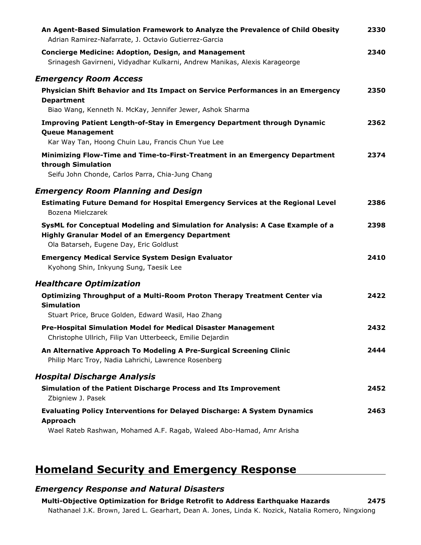| An Agent-Based Simulation Framework to Analyze the Prevalence of Child Obesity<br>Adrian Ramirez-Nafarrate, J. Octavio Gutierrez-Garcia                                              | 2330 |
|--------------------------------------------------------------------------------------------------------------------------------------------------------------------------------------|------|
| <b>Concierge Medicine: Adoption, Design, and Management</b><br>Srinagesh Gavirneni, Vidyadhar Kulkarni, Andrew Manikas, Alexis Karageorge                                            | 2340 |
| <b>Emergency Room Access</b>                                                                                                                                                         |      |
| Physician Shift Behavior and Its Impact on Service Performances in an Emergency<br><b>Department</b>                                                                                 | 2350 |
| Biao Wang, Kenneth N. McKay, Jennifer Jewer, Ashok Sharma                                                                                                                            |      |
| <b>Improving Patient Length-of-Stay in Emergency Department through Dynamic</b><br><b>Queue Management</b><br>Kar Way Tan, Hoong Chuin Lau, Francis Chun Yue Lee                     | 2362 |
| Minimizing Flow-Time and Time-to-First-Treatment in an Emergency Department<br>through Simulation                                                                                    | 2374 |
| Seifu John Chonde, Carlos Parra, Chia-Jung Chang                                                                                                                                     |      |
| <b>Emergency Room Planning and Design</b>                                                                                                                                            |      |
| <b>Estimating Future Demand for Hospital Emergency Services at the Regional Level</b><br>Bozena Mielczarek                                                                           | 2386 |
| SysML for Conceptual Modeling and Simulation for Analysis: A Case Example of a<br><b>Highly Granular Model of an Emergency Department</b><br>Ola Batarseh, Eugene Day, Eric Goldlust | 2398 |
| <b>Emergency Medical Service System Design Evaluator</b><br>Kyohong Shin, Inkyung Sung, Taesik Lee                                                                                   | 2410 |
| <b>Healthcare Optimization</b>                                                                                                                                                       |      |
| Optimizing Throughput of a Multi-Room Proton Therapy Treatment Center via<br><b>Simulation</b>                                                                                       | 2422 |
| Stuart Price, Bruce Golden, Edward Wasil, Hao Zhang                                                                                                                                  |      |
| Pre-Hospital Simulation Model for Medical Disaster Management<br>Christophe Ullrich, Filip Van Utterbeeck, Emilie Dejardin                                                           | 2432 |
| An Alternative Approach To Modeling A Pre-Surgical Screening Clinic<br>Philip Marc Troy, Nadia Lahrichi, Lawrence Rosenberg                                                          | 2444 |
| <b>Hospital Discharge Analysis</b>                                                                                                                                                   |      |
| Simulation of the Patient Discharge Process and Its Improvement<br>Zbigniew J. Pasek                                                                                                 | 2452 |
| <b>Evaluating Policy Interventions for Delayed Discharge: A System Dynamics</b><br><b>Approach</b><br>Wael Rateb Rashwan, Mohamed A.F. Ragab, Waleed Abo-Hamad, Amr Arisha           | 2463 |

## **Homeland Security and Emergency Response**

#### *Emergency Response and Natural Disasters*

**2475 Multi-Objective Optimization for Bridge Retrofit to Address Earthquake Hazards** Nathanael J.K. Brown, Jared L. Gearhart, Dean A. Jones, Linda K. Nozick, Natalia Romero, Ningxiong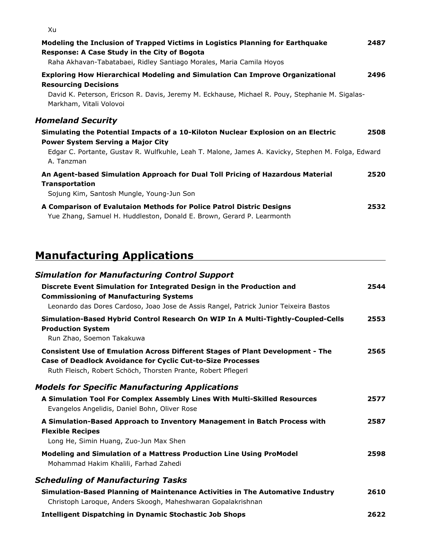| Modeling the Inclusion of Trapped Victims in Logistics Planning for Earthquake<br><b>Response: A Case Study in the City of Bogota</b><br>Raha Akhavan-Tabatabaei, Ridley Santiago Morales, Maria Camila Hoyos                                     | 2487 |
|---------------------------------------------------------------------------------------------------------------------------------------------------------------------------------------------------------------------------------------------------|------|
| <b>Exploring How Hierarchical Modeling and Simulation Can Improve Organizational</b><br><b>Resourcing Decisions</b><br>David K. Peterson, Ericson R. Davis, Jeremy M. Eckhause, Michael R. Pouy, Stephanie M. Sigalas-<br>Markham, Vitali Volovoi | 2496 |
| <b>Homeland Security</b>                                                                                                                                                                                                                          |      |
| Simulating the Potential Impacts of a 10-Kiloton Nuclear Explosion on an Electric                                                                                                                                                                 | 2508 |
| <b>Power System Serving a Major City</b><br>Edgar C. Portante, Gustav R. Wulfkuhle, Leah T. Malone, James A. Kavicky, Stephen M. Folga, Edward<br>A. Tanzman                                                                                      |      |
| An Agent-based Simulation Approach for Dual Toll Pricing of Hazardous Material<br><b>Transportation</b><br>Sojung Kim, Santosh Mungle, Young-Jun Son                                                                                              | 2520 |
|                                                                                                                                                                                                                                                   |      |
| A Comparison of Evalutaion Methods for Police Patrol Distric Designs<br>Yue Zhang, Samuel H. Huddleston, Donald E. Brown, Gerard P. Learmonth                                                                                                     | 2532 |

## **Manufacturing Applications**

| <b>Simulation for Manufacturing Control Support</b>                                                                                                                                                                          |      |
|------------------------------------------------------------------------------------------------------------------------------------------------------------------------------------------------------------------------------|------|
| Discrete Event Simulation for Integrated Design in the Production and<br><b>Commissioning of Manufacturing Systems</b><br>Leonardo das Dores Cardoso, Joao Jose de Assis Rangel, Patrick Junior Teixeira Bastos              | 2544 |
| Simulation-Based Hybrid Control Research On WIP In A Multi-Tightly-Coupled-Cells<br><b>Production System</b><br>Run Zhao, Soemon Takakuwa                                                                                    | 2553 |
| <b>Consistent Use of Emulation Across Different Stages of Plant Development - The</b><br><b>Case of Deadlock Avoidance for Cyclic Cut-to-Size Processes</b><br>Ruth Fleisch, Robert Schöch, Thorsten Prante, Robert Pflegerl | 2565 |
| <b>Models for Specific Manufacturing Applications</b>                                                                                                                                                                        |      |
| A Simulation Tool For Complex Assembly Lines With Multi-Skilled Resources<br>Evangelos Angelidis, Daniel Bohn, Oliver Rose                                                                                                   | 2577 |
| A Simulation-Based Approach to Inventory Management in Batch Process with<br><b>Flexible Recipes</b><br>Long He, Simin Huang, Zuo-Jun Max Shen                                                                               | 2587 |
| Modeling and Simulation of a Mattress Production Line Using ProModel<br>Mohammad Hakim Khalili, Farhad Zahedi                                                                                                                | 2598 |
| <b>Scheduling of Manufacturing Tasks</b>                                                                                                                                                                                     |      |
| Simulation-Based Planning of Maintenance Activities in The Automative Industry<br>Christoph Laroque, Anders Skoogh, Maheshwaran Gopalakrishnan                                                                               | 2610 |
| <b>Intelligent Dispatching in Dynamic Stochastic Job Shops</b>                                                                                                                                                               | 2622 |

Xu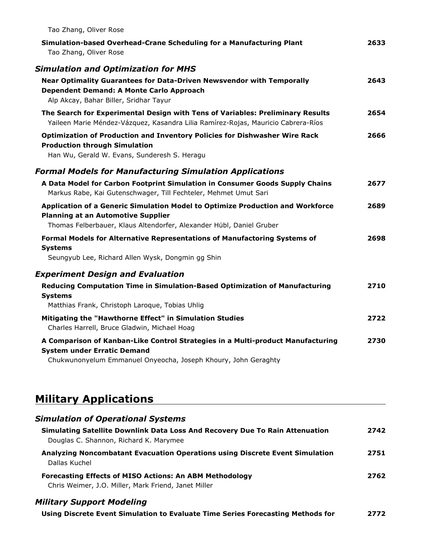| Tao Zhang, Oliver Rose                                                                                                                                                                              |      |
|-----------------------------------------------------------------------------------------------------------------------------------------------------------------------------------------------------|------|
| Simulation-based Overhead-Crane Scheduling for a Manufacturing Plant<br>Tao Zhang, Oliver Rose                                                                                                      | 2633 |
| <b>Simulation and Optimization for MHS</b>                                                                                                                                                          |      |
| <b>Near Optimality Guarantees for Data-Driven Newsvendor with Temporally</b><br>Dependent Demand: A Monte Carlo Approach<br>Alp Akcay, Bahar Biller, Sridhar Tayur                                  | 2643 |
| The Search for Experimental Design with Tens of Variables: Preliminary Results<br>Yaileen Marie Méndez-Vázquez, Kasandra Lilia Ramírez-Rojas, Mauricio Cabrera-Ríos                                 | 2654 |
| Optimization of Production and Inventory Policies for Dishwasher Wire Rack<br><b>Production through Simulation</b><br>Han Wu, Gerald W. Evans, Sunderesh S. Heragu                                  | 2666 |
| <b>Formal Models for Manufacturing Simulation Applications</b>                                                                                                                                      |      |
| A Data Model for Carbon Footprint Simulation in Consumer Goods Supply Chains<br>Markus Rabe, Kai Gutenschwager, Till Fechteler, Mehmet Umut Sari                                                    | 2677 |
| Application of a Generic Simulation Model to Optimize Production and Workforce<br><b>Planning at an Automotive Supplier</b><br>Thomas Felberbauer, Klaus Altendorfer, Alexander Hübl, Daniel Gruber | 2689 |
| Formal Models for Alternative Representations of Manufactoring Systems of<br><b>Systems</b><br>Seungyub Lee, Richard Allen Wysk, Dongmin gg Shin                                                    | 2698 |
| <b>Experiment Design and Evaluation</b>                                                                                                                                                             |      |
| Reducing Computation Time in Simulation-Based Optimization of Manufacturing<br><b>Systems</b><br>Matthias Frank, Christoph Laroque, Tobias Uhlig                                                    | 2710 |
| Mitigating the "Hawthorne Effect" in Simulation Studies<br>Charles Harrell, Bruce Gladwin, Michael Hoag                                                                                             | 2722 |
| A Comparison of Kanban-Like Control Strategies in a Multi-product Manufacturing<br><b>System under Erratic Demand</b><br>Chukwunonyelum Emmanuel Onyeocha, Joseph Khoury, John Geraghty             | 2730 |

## **Military Applications**

| <b>Simulation of Operational Systems</b>                                                                               |      |
|------------------------------------------------------------------------------------------------------------------------|------|
| Simulating Satellite Downlink Data Loss And Recovery Due To Rain Attenuation<br>Douglas C. Shannon, Richard K. Marymee | 2742 |
| Analyzing Noncombatant Evacuation Operations using Discrete Event Simulation<br>Dallas Kuchel                          | 2751 |
| <b>Forecasting Effects of MISO Actions: An ABM Methodology</b><br>Chris Weimer, J.O. Miller, Mark Friend, Janet Miller | 2762 |

#### *Military Support Modeling*

**2772 Using Discrete Event Simulation to Evaluate Time Series Forecasting Methods for**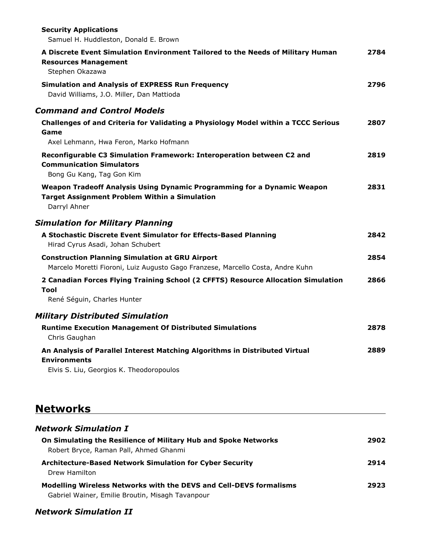| <b>Security Applications</b><br>Samuel H. Huddleston, Donald E. Brown                                                                           |      |
|-------------------------------------------------------------------------------------------------------------------------------------------------|------|
| A Discrete Event Simulation Environment Tailored to the Needs of Military Human<br><b>Resources Management</b><br>Stephen Okazawa               | 2784 |
| <b>Simulation and Analysis of EXPRESS Run Frequency</b><br>David Williams, J.O. Miller, Dan Mattioda                                            | 2796 |
| <b>Command and Control Models</b>                                                                                                               |      |
| Challenges of and Criteria for Validating a Physiology Model within a TCCC Serious<br>Game<br>Axel Lehmann, Hwa Feron, Marko Hofmann            | 2807 |
| Reconfigurable C3 Simulation Framework: Interoperation between C2 and<br><b>Communication Simulators</b><br>Bong Gu Kang, Tag Gon Kim           | 2819 |
| Weapon Tradeoff Analysis Using Dynamic Programming for a Dynamic Weapon<br><b>Target Assignment Problem Within a Simulation</b><br>Darryl Ahner | 2831 |
| <b>Simulation for Military Planning</b>                                                                                                         |      |
| A Stochastic Discrete Event Simulator for Effects-Based Planning<br>Hirad Cyrus Asadi, Johan Schubert                                           | 2842 |
| <b>Construction Planning Simulation at GRU Airport</b><br>Marcelo Moretti Fioroni, Luiz Augusto Gago Franzese, Marcello Costa, Andre Kuhn       | 2854 |
| 2 Canadian Forces Flying Training School (2 CFFTS) Resource Allocation Simulation<br>Tool                                                       | 2866 |
| René Séguin, Charles Hunter                                                                                                                     |      |
| <b>Military Distributed Simulation</b>                                                                                                          |      |
| <b>Runtime Execution Management Of Distributed Simulations</b><br>Chris Gaughan                                                                 | 2878 |
| An Analysis of Parallel Interest Matching Algorithms in Distributed Virtual<br><b>Environments</b><br>Elvis S. Liu, Georgios K. Theodoropoulos  | 2889 |
|                                                                                                                                                 |      |

## **Networks**

| <b>Network Simulation I</b>                                                                                            |      |
|------------------------------------------------------------------------------------------------------------------------|------|
| On Simulating the Resilience of Military Hub and Spoke Networks<br>Robert Bryce, Raman Pall, Ahmed Ghanmi              | 2902 |
| <b>Architecture-Based Network Simulation for Cyber Security</b><br>Drew Hamilton                                       | 2914 |
| Modelling Wireless Networks with the DEVS and Cell-DEVS formalisms<br>Gabriel Wainer, Emilie Broutin, Misagh Tavanpour | 2923 |

### *Network Simulation II*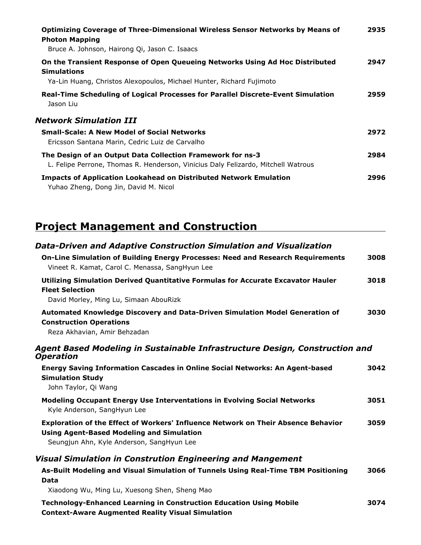| Optimizing Coverage of Three-Dimensional Wireless Sensor Networks by Means of<br><b>Photon Mapping</b><br>Bruce A. Johnson, Hairong Qi, Jason C. Isaacs                    | 2935 |
|----------------------------------------------------------------------------------------------------------------------------------------------------------------------------|------|
| On the Transient Response of Open Queueing Networks Using Ad Hoc Distributed<br><b>Simulations</b><br>Ya-Lin Huang, Christos Alexopoulos, Michael Hunter, Richard Fujimoto | 2947 |
| Real-Time Scheduling of Logical Processes for Parallel Discrete-Event Simulation<br>Jason Liu                                                                              | 2959 |
| <b>Network Simulation III</b>                                                                                                                                              |      |
| <b>Small-Scale: A New Model of Social Networks</b><br>Ericsson Santana Marin, Cedric Luiz de Carvalho                                                                      | 2972 |
| The Design of an Output Data Collection Framework for ns-3<br>L. Felipe Perrone, Thomas R. Henderson, Vinicius Daly Felizardo, Mitchell Watrous                            | 2984 |
| <b>Impacts of Application Lookahead on Distributed Network Emulation</b><br>Yuhao Zheng, Dong Jin, David M. Nicol                                                          | 2996 |

## **Project Management and Construction**

| <b>Data-Driven and Adaptive Construction Simulation and Visualization</b>                                                                                                          |      |
|------------------------------------------------------------------------------------------------------------------------------------------------------------------------------------|------|
| On-Line Simulation of Building Energy Processes: Need and Research Requirements<br>Vineet R. Kamat, Carol C. Menassa, SangHyun Lee                                                 | 3008 |
| Utilizing Simulation Derived Quantitative Formulas for Accurate Excavator Hauler<br><b>Fleet Selection</b><br>David Morley, Ming Lu, Simaan AbouRizk                               | 3018 |
| Automated Knowledge Discovery and Data-Driven Simulation Model Generation of<br><b>Construction Operations</b><br>Reza Akhavian, Amir Behzadan                                     | 3030 |
| Agent Based Modeling in Sustainable Infrastructure Design, Construction and<br><b>Operation</b>                                                                                    |      |
| <b>Energy Saving Information Cascades in Online Social Networks: An Agent-based</b><br><b>Simulation Study</b><br>John Taylor, Qi Wang                                             | 3042 |
| <b>Modeling Occupant Energy Use Interventations in Evolving Social Networks</b><br>Kyle Anderson, SangHyun Lee                                                                     | 3051 |
| Exploration of the Effect of Workers' Influence Network on Their Absence Behavior<br><b>Using Agent-Based Modeling and Simulation</b><br>Seungjun Ahn, Kyle Anderson, SangHyun Lee | 3059 |
| <b>Visual Simulation in Constrution Engineering and Mangement</b>                                                                                                                  |      |
| As-Built Modeling and Visual Simulation of Tunnels Using Real-Time TBM Positioning<br>Data                                                                                         | 3066 |
| Xiaodong Wu, Ming Lu, Xuesong Shen, Sheng Mao                                                                                                                                      |      |
| <b>Technology-Enhanced Learning in Construction Education Using Mobile</b>                                                                                                         | 3074 |

**Context-Aware Augmented Reality Visual Simulation**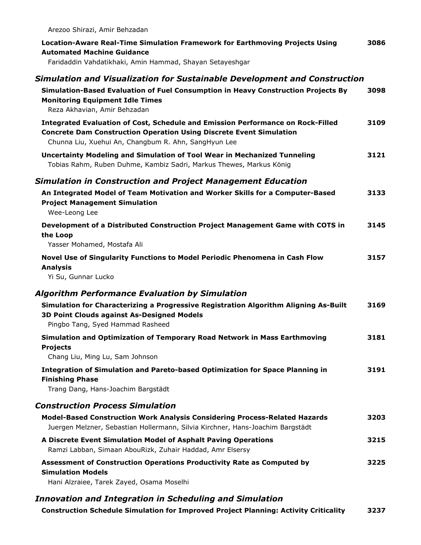| Arezoo Shirazi, Amir Behzadan                                                                                                                                                                                         |      |
|-----------------------------------------------------------------------------------------------------------------------------------------------------------------------------------------------------------------------|------|
| Location-Aware Real-Time Simulation Framework for Earthmoving Projects Using<br><b>Automated Machine Guidance</b>                                                                                                     | 3086 |
| Faridaddin Vahdatikhaki, Amin Hammad, Shayan Setayeshgar                                                                                                                                                              |      |
| Simulation and Visualization for Sustainable Development and Construction                                                                                                                                             |      |
| Simulation-Based Evaluation of Fuel Consumption in Heavy Construction Projects By<br><b>Monitoring Equipment Idle Times</b><br>Reza Akhavian, Amir Behzadan                                                           | 3098 |
| Integrated Evaluation of Cost, Schedule and Emission Performance on Rock-Filled<br><b>Concrete Dam Construction Operation Using Discrete Event Simulation</b><br>Chunna Liu, Xuehui An, Changbum R. Ahn, SangHyun Lee | 3109 |
| <b>Uncertainty Modeling and Simulation of Tool Wear in Mechanized Tunneling</b><br>Tobias Rahm, Ruben Duhme, Kambiz Sadri, Markus Thewes, Markus König                                                                | 3121 |
| <b>Simulation in Construction and Project Management Education</b>                                                                                                                                                    |      |
| An Integrated Model of Team Motivation and Worker Skills for a Computer-Based<br><b>Project Management Simulation</b><br>Wee-Leong Lee                                                                                | 3133 |
| Development of a Distributed Construction Project Management Game with COTS in<br>the Loop<br>Yasser Mohamed, Mostafa Ali                                                                                             | 3145 |
| Novel Use of Singularity Functions to Model Periodic Phenomena in Cash Flow<br><b>Analysis</b><br>Yi Su, Gunnar Lucko                                                                                                 | 3157 |
| <b>Algorithm Performance Evaluation by Simulation</b>                                                                                                                                                                 |      |
| Simulation for Characterizing a Progressive Registration Algorithm Aligning As-Built<br><b>3D Point Clouds against As-Designed Models</b><br>Pingbo Tang, Syed Hammad Rasheed                                         | 3169 |
| Simulation and Optimization of Temporary Road Network in Mass Earthmoving<br><b>Projects</b><br>Chang Liu, Ming Lu, Sam Johnson                                                                                       | 3181 |
| Integration of Simulation and Pareto-based Optimization for Space Planning in<br><b>Finishing Phase</b><br>Trang Dang, Hans-Joachim Bargstädt                                                                         | 3191 |
| <b>Construction Process Simulation</b>                                                                                                                                                                                |      |
| Model-Based Construction Work Analysis Considering Process-Related Hazards<br>Juergen Melzner, Sebastian Hollermann, Silvia Kirchner, Hans-Joachim Bargstädt                                                          | 3203 |
| A Discrete Event Simulation Model of Asphalt Paving Operations<br>Ramzi Labban, Simaan AbouRizk, Zuhair Haddad, Amr Elsersy                                                                                           | 3215 |
| Assessment of Construction Operations Productivity Rate as Computed by<br><b>Simulation Models</b><br>Hani Alzraiee, Tarek Zayed, Osama Moselhi                                                                       | 3225 |
| <b>Innovation and Integration in Scheduling and Simulation</b>                                                                                                                                                        |      |
|                                                                                                                                                                                                                       |      |

**3237 Construction Schedule Simulation for Improved Project Planning: Activity Criticality**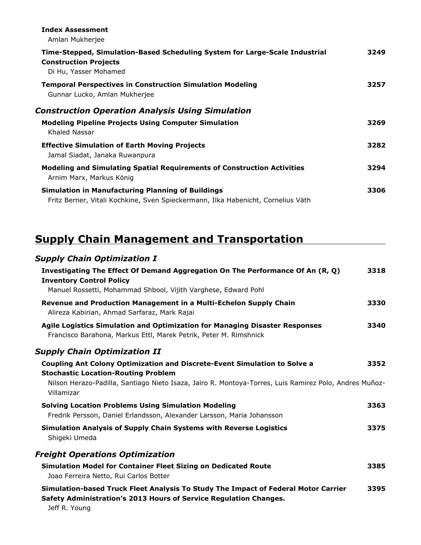| <b>Index Assessment</b><br>Amlan Mukherjee                                                                                                   |      |
|----------------------------------------------------------------------------------------------------------------------------------------------|------|
| Time-Stepped, Simulation-Based Scheduling System for Large-Scale Industrial<br><b>Construction Projects</b><br>Di Hu, Yasser Mohamed         | 3249 |
| <b>Temporal Perspectives in Construction Simulation Modeling</b><br>Gunnar Lucko, Amlan Mukherjee                                            | 3257 |
| <b>Construction Operation Analysis Using Simulation</b>                                                                                      |      |
| <b>Modeling Pipeline Projects Using Computer Simulation</b><br>Khaled Nassar                                                                 | 3269 |
| <b>Effective Simulation of Earth Moving Projects</b><br>Jamal Siadat, Janaka Ruwanpura                                                       | 3282 |
| <b>Modeling and Simulating Spatial Requirements of Construction Activities</b><br>Arnim Marx, Markus König                                   | 3294 |
| <b>Simulation in Manufacturing Planning of Buildings</b><br>Fritz Berner, Vitali Kochkine, Sven Spieckermann, Ilka Habenicht, Cornelius Väth | 3306 |
|                                                                                                                                              |      |

## **Supply Chain Management and Transportation**

| <b>Supply Chain Optimization I</b>                                                                                                                                       |      |
|--------------------------------------------------------------------------------------------------------------------------------------------------------------------------|------|
| Investigating The Effect Of Demand Aggregation On The Performance Of An (R, Q)<br><b>Inventory Control Policy</b>                                                        | 3318 |
| Manuel Rossetti, Mohammad Shbool, Vijith Varghese, Edward Pohl                                                                                                           |      |
| Revenue and Production Management in a Multi-Echelon Supply Chain<br>Alireza Kabirian, Ahmad Sarfaraz, Mark Rajai                                                        | 3330 |
| Agile Logistics Simulation and Optimization for Managing Disaster Responses<br>Francisco Barahona, Markus Ettl, Marek Petrik, Peter M. Rimshnick                         | 3340 |
| <b>Supply Chain Optimization II</b>                                                                                                                                      |      |
| <b>Coupling Ant Colony Optimization and Discrete-Event Simulation to Solve a</b>                                                                                         | 3352 |
| <b>Stochastic Location-Routing Problem</b>                                                                                                                               |      |
| Nilson Herazo-Padilla, Santiago Nieto Isaza, Jairo R. Montoya-Torres, Luis Ramirez Polo, Andres Muñoz-<br>Villamizar                                                     |      |
| <b>Solving Location Problems Using Simulation Modeling</b>                                                                                                               | 3363 |
| Fredrik Persson, Daniel Erlandsson, Alexander Larsson, Maria Johansson                                                                                                   |      |
| <b>Simulation Analysis of Supply Chain Systems with Reverse Logistics</b>                                                                                                | 3375 |
| Shigeki Umeda                                                                                                                                                            |      |
| <b>Freight Operations Optimization</b>                                                                                                                                   |      |
| <b>Simulation Model for Container Fleet Sizing on Dedicated Route</b>                                                                                                    | 3385 |
| Joao Ferreira Netto, Rui Carlos Botter                                                                                                                                   |      |
| Simulation-based Truck Fleet Analysis To Study The Impact of Federal Motor Carrier<br>Safety Administration's 2013 Hours of Service Regulation Changes.<br>Jeff R. Young | 3395 |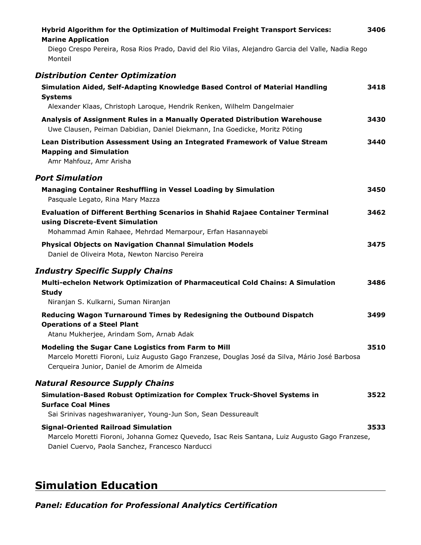| Hybrid Algorithm for the Optimization of Multimodal Freight Transport Services:<br><b>Marine Application</b>                                                                                           | 3406 |
|--------------------------------------------------------------------------------------------------------------------------------------------------------------------------------------------------------|------|
| Diego Crespo Pereira, Rosa Rios Prado, David del Rio Vilas, Alejandro Garcia del Valle, Nadia Rego<br>Monteil                                                                                          |      |
| <b>Distribution Center Optimization</b>                                                                                                                                                                |      |
| Simulation Aided, Self-Adapting Knowledge Based Control of Material Handling<br><b>Systems</b><br>Alexander Klaas, Christoph Laroque, Hendrik Renken, Wilhelm Dangelmaier                              | 3418 |
| Analysis of Assignment Rules in a Manually Operated Distribution Warehouse<br>Uwe Clausen, Peiman Dabidian, Daniel Diekmann, Ina Goedicke, Moritz Pöting                                               | 3430 |
| Lean Distribution Assessment Using an Integrated Framework of Value Stream<br><b>Mapping and Simulation</b><br>Amr Mahfouz, Amr Arisha                                                                 | 3440 |
| <b>Port Simulation</b>                                                                                                                                                                                 |      |
| Managing Container Reshuffling in Vessel Loading by Simulation<br>Pasquale Legato, Rina Mary Mazza                                                                                                     | 3450 |
| <b>Evaluation of Different Berthing Scenarios in Shahid Rajaee Container Terminal</b><br>using Discrete-Event Simulation<br>Mohammad Amin Rahaee, Mehrdad Memarpour, Erfan Hasannayebi                 | 3462 |
| <b>Physical Objects on Navigation Channal Simulation Models</b><br>Daniel de Oliveira Mota, Newton Narciso Pereira                                                                                     | 3475 |
| <b>Industry Specific Supply Chains</b>                                                                                                                                                                 |      |
| Multi-echelon Network Optimization of Pharmaceutical Cold Chains: A Simulation<br><b>Study</b>                                                                                                         | 3486 |
| Niranjan S. Kulkarni, Suman Niranjan                                                                                                                                                                   |      |
| Reducing Wagon Turnaround Times by Redesigning the Outbound Dispatch<br><b>Operations of a Steel Plant</b><br>Atanu Mukherjee, Arindam Som, Arnab Adak                                                 | 3499 |
| Modeling the Sugar Cane Logistics from Farm to Mill<br>Marcelo Moretti Fioroni, Luiz Augusto Gago Franzese, Douglas José da Silva, Mário José Barbosa<br>Cerqueira Junior, Daniel de Amorim de Almeida | 3510 |
| <b>Natural Resource Supply Chains</b>                                                                                                                                                                  |      |
| Simulation-Based Robust Optimization for Complex Truck-Shovel Systems in<br><b>Surface Coal Mines</b>                                                                                                  | 3522 |
| Sai Srinivas nageshwaraniyer, Young-Jun Son, Sean Dessureault                                                                                                                                          |      |
| <b>Signal-Oriented Railroad Simulation</b><br>Marcelo Moretti Fioroni, Johanna Gomez Quevedo, Isac Reis Santana, Luiz Augusto Gago Franzese,<br>Daniel Cuervo, Paola Sanchez, Francesco Narducci       | 3533 |

## **Simulation Education**

*Panel: Education for Professional Analytics Certification*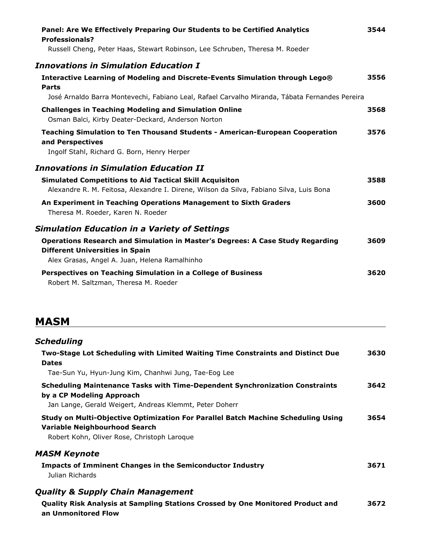| Panel: Are We Effectively Preparing Our Students to be Certified Analytics<br><b>Professionals?</b>                                                                              | 3544 |
|----------------------------------------------------------------------------------------------------------------------------------------------------------------------------------|------|
| Russell Cheng, Peter Haas, Stewart Robinson, Lee Schruben, Theresa M. Roeder                                                                                                     |      |
| <b>Innovations in Simulation Education I</b>                                                                                                                                     |      |
| Interactive Learning of Modeling and Discrete-Events Simulation through Lego®<br>Parts                                                                                           | 3556 |
| José Arnaldo Barra Montevechi, Fabiano Leal, Rafael Carvalho Miranda, Tábata Fernandes Pereira                                                                                   |      |
| <b>Challenges in Teaching Modeling and Simulation Online</b><br>Osman Balci, Kirby Deater-Deckard, Anderson Norton                                                               | 3568 |
| <b>Teaching Simulation to Ten Thousand Students - American-European Cooperation</b><br>and Perspectives<br>Ingolf Stahl, Richard G. Born, Henry Herper                           | 3576 |
| <b>Innovations in Simulation Education II</b>                                                                                                                                    |      |
| <b>Simulated Competitions to Aid Tactical Skill Acquisiton</b><br>Alexandre R. M. Feitosa, Alexandre I. Direne, Wilson da Silva, Fabiano Silva, Luis Bona                        | 3588 |
| An Experiment in Teaching Operations Management to Sixth Graders<br>Theresa M. Roeder, Karen N. Roeder                                                                           | 3600 |
| <b>Simulation Education in a Variety of Settings</b>                                                                                                                             |      |
| <b>Operations Research and Simulation in Master's Degrees: A Case Study Regarding</b><br><b>Different Universities in Spain</b><br>Alex Grasas, Angel A. Juan, Helena Ramalhinho | 3609 |
| Perspectives on Teaching Simulation in a College of Business<br>Robert M. Saltzman, Theresa M. Roeder                                                                            | 3620 |

## **MASM**

| Scheduling                                                                                                                                                           |      |
|----------------------------------------------------------------------------------------------------------------------------------------------------------------------|------|
| Two-Stage Lot Scheduling with Limited Waiting Time Constraints and Distinct Due<br><b>Dates</b>                                                                      | 3630 |
| Tae-Sun Yu, Hyun-Jung Kim, Chanhwi Jung, Tae-Eog Lee                                                                                                                 |      |
| Scheduling Maintenance Tasks with Time-Dependent Synchronization Constraints<br>by a CP Modeling Approach<br>Jan Lange, Gerald Weigert, Andreas Klemmt, Peter Doherr | 3642 |
| Study on Multi-Objective Optimization For Parallel Batch Machine Scheduling Using<br>Variable Neighbourhood Search<br>Robert Kohn, Oliver Rose, Christoph Laroque    | 3654 |
| <i><b>MASM Keynote</b></i><br><b>Impacts of Imminent Changes in the Semiconductor Industry</b><br>Julian Richards                                                    | 3671 |
| <b>Quality &amp; Supply Chain Management</b><br><b>Quality Risk Analysis at Sampling Stations Crossed by One Monitored Product and</b><br>an Unmonitored Flow        | 3672 |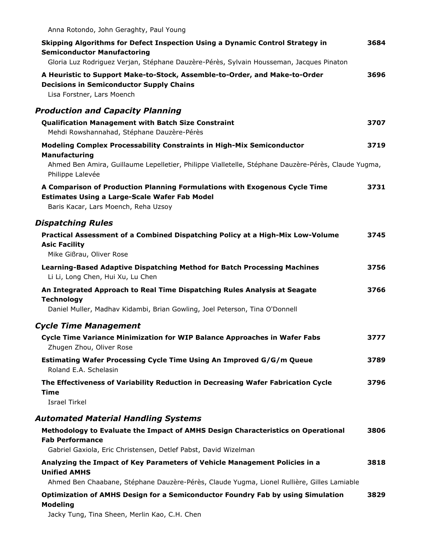| Anna Rotondo, John Geraghty, Paul Young                                                                                                                                                         |      |
|-------------------------------------------------------------------------------------------------------------------------------------------------------------------------------------------------|------|
| Skipping Algorithms for Defect Inspection Using a Dynamic Control Strategy in<br><b>Semiconductor Manufactoring</b>                                                                             | 3684 |
| Gloria Luz Rodriguez Verjan, Stéphane Dauzère-Pérès, Sylvain Housseman, Jacques Pinaton                                                                                                         |      |
| A Heuristic to Support Make-to-Stock, Assemble-to-Order, and Make-to-Order<br><b>Decisions in Semiconductor Supply Chains</b><br>Lisa Forstner, Lars Moench                                     | 3696 |
| <b>Production and Capacity Planning</b>                                                                                                                                                         |      |
| <b>Qualification Management with Batch Size Constraint</b><br>Mehdi Rowshannahad, Stéphane Dauzère-Pérès                                                                                        | 3707 |
| <b>Modeling Complex Processability Constraints in High-Mix Semiconductor</b>                                                                                                                    | 3719 |
| <b>Manufacturing</b><br>Ahmed Ben Amira, Guillaume Lepelletier, Philippe Vialletelle, Stéphane Dauzère-Pérès, Claude Yugma,<br>Philippe Lalevée                                                 |      |
| A Comparison of Production Planning Formulations with Exogenous Cycle Time<br><b>Estimates Using a Large-Scale Wafer Fab Model</b><br>Baris Kacar, Lars Moench, Reha Uzsoy                      | 3731 |
| <b>Dispatching Rules</b>                                                                                                                                                                        |      |
| Practical Assessment of a Combined Dispatching Policy at a High-Mix Low-Volume<br><b>Asic Facility</b><br>Mike Gißrau, Oliver Rose                                                              | 3745 |
| Learning-Based Adaptive Dispatching Method for Batch Processing Machines<br>Li Li, Long Chen, Hui Xu, Lu Chen                                                                                   | 3756 |
| An Integrated Approach to Real Time Dispatching Rules Analysis at Seagate<br><b>Technology</b><br>Daniel Muller, Madhav Kidambi, Brian Gowling, Joel Peterson, Tina O'Donnell                   | 3766 |
| <b>Cycle Time Management</b>                                                                                                                                                                    |      |
| Cycle Time Variance Minimization for WIP Balance Approaches in Wafer Fabs<br>Zhugen Zhou, Oliver Rose                                                                                           | 3777 |
| Estimating Wafer Processing Cycle Time Using An Improved G/G/m Queue<br>Roland E.A. Schelasin                                                                                                   | 3789 |
| The Effectiveness of Variability Reduction in Decreasing Wafer Fabrication Cycle<br>Time<br><b>Israel Tirkel</b>                                                                                | 3796 |
| <b>Automated Material Handling Systems</b>                                                                                                                                                      |      |
| Methodology to Evaluate the Impact of AMHS Design Characteristics on Operational<br><b>Fab Performance</b>                                                                                      | 3806 |
| Gabriel Gaxiola, Eric Christensen, Detlef Pabst, David Wizelman                                                                                                                                 |      |
| Analyzing the Impact of Key Parameters of Vehicle Management Policies in a<br><b>Unified AMHS</b><br>Ahmed Ben Chaabane, Stéphane Dauzère-Pérès, Claude Yugma, Lionel Rullière, Gilles Lamiable | 3818 |
| Optimization of AMHS Design for a Semiconductor Foundry Fab by using Simulation<br><b>Modeling</b><br>Jacky Tung, Tina Sheen, Merlin Kao, C.H. Chen                                             | 3829 |
|                                                                                                                                                                                                 |      |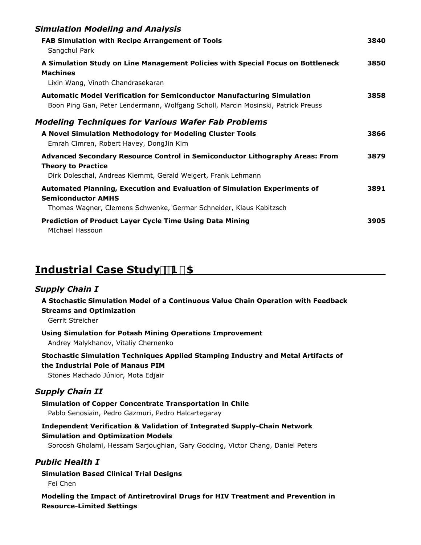| <b>Simulation Modeling and Analysis</b>                                                                                                                                      |      |
|------------------------------------------------------------------------------------------------------------------------------------------------------------------------------|------|
| <b>FAB Simulation with Recipe Arrangement of Tools</b><br>Sangchul Park                                                                                                      | 3840 |
| A Simulation Study on Line Management Policies with Special Focus on Bottleneck<br><b>Machines</b><br>Lixin Wang, Vinoth Chandrasekaran                                      | 3850 |
| <b>Automatic Model Verification for Semiconductor Manufacturing Simulation</b><br>Boon Ping Gan, Peter Lendermann, Wolfgang Scholl, Marcin Mosinski, Patrick Preuss          | 3858 |
| <b>Modeling Techniques for Various Wafer Fab Problems</b>                                                                                                                    |      |
| A Novel Simulation Methodology for Modeling Cluster Tools<br>Emrah Cimren, Robert Havey, DongJin Kim                                                                         | 3866 |
| Advanced Secondary Resource Control in Semiconductor Lithography Areas: From<br><b>Theory to Practice</b><br>Dirk Doleschal, Andreas Klemmt, Gerald Weigert, Frank Lehmann   | 3879 |
| Automated Planning, Execution and Evaluation of Simulation Experiments of<br><b>Semiconductor AMHS</b><br>Thomas Wagner, Clemens Schwenke, Germar Schneider, Klaus Kabitzsch | 3891 |
| <b>Prediction of Product Layer Cycle Time Using Data Mining</b><br>MIchael Hassoun                                                                                           | 3905 |
|                                                                                                                                                                              |      |

### **Industrial Case Study1\$**

#### *Supply Chain I*

**A Stochastic Simulation Model of a Continuous Value Chain Operation with Feedback Streams and Optimization**

Gerrit Streicher

#### **Using Simulation for Potash Mining Operations Improvement**

Andrey Malykhanov, Vitaliy Chernenko

#### **Stochastic Simulation Techniques Applied Stamping Industry and Metal Artifacts of the Industrial Pole of Manaus PIM**

Stones Machado Júnior, Mota Edjair

#### *Supply Chain II*

**Simulation of Copper Concentrate Transportation in Chile** Pablo Senosiain, Pedro Gazmuri, Pedro Halcartegaray

#### **Independent Verification & Validation of Integrated Supply-Chain Network Simulation and Optimization Models**

Soroosh Gholami, Hessam Sarjoughian, Gary Godding, Victor Chang, Daniel Peters

#### *Public Health I*

**Simulation Based Clinical Trial Designs** Fei Chen

**Modeling the Impact of Antiretroviral Drugs for HIV Treatment and Prevention in Resource-Limited Settings**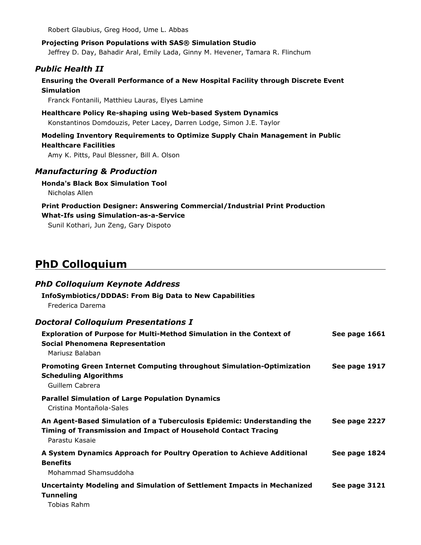Robert Glaubius, Greg Hood, Ume L. Abbas

**Projecting Prison Populations with SAS® Simulation Studio** Jeffrey D. Day, Bahadir Aral, Emily Lada, Ginny M. Hevener, Tamara R. Flinchum

#### *Public Health II*

#### **Ensuring the Overall Performance of a New Hospital Facility through Discrete Event Simulation**

Franck Fontanili, Matthieu Lauras, Elyes Lamine

**Healthcare Policy Re-shaping using Web-based System Dynamics** Konstantinos Domdouzis, Peter Lacey, Darren Lodge, Simon J.E. Taylor

#### **Modeling Inventory Requirements to Optimize Supply Chain Management in Public Healthcare Facilities**

Amy K. Pitts, Paul Blessner, Bill A. Olson

#### *Manufacturing & Production*

#### **Honda's Black Box Simulation Tool**

Nicholas Allen

#### **Print Production Designer: Answering Commercial/Industrial Print Production What-Ifs using Simulation-as-a-Service**

Sunil Kothari, Jun Zeng, Gary Dispoto

### **PhD Colloquium**

| <b>PhD Colloquium Keynote Address</b>                                                                                                                       |               |
|-------------------------------------------------------------------------------------------------------------------------------------------------------------|---------------|
| <b>InfoSymbiotics/DDDAS: From Big Data to New Capabilities</b><br>Frederica Darema                                                                          |               |
| <b>Doctoral Colloquium Presentations I</b>                                                                                                                  |               |
| Exploration of Purpose for Multi-Method Simulation in the Context of<br><b>Social Phenomena Representation</b><br>Mariusz Balaban                           | See page 1661 |
| Promoting Green Internet Computing throughout Simulation-Optimization<br><b>Scheduling Algorithms</b><br>Guillem Cabrera                                    | See page 1917 |
| <b>Parallel Simulation of Large Population Dynamics</b><br>Cristina Montañola-Sales                                                                         |               |
| An Agent-Based Simulation of a Tuberculosis Epidemic: Understanding the<br>Timing of Transmission and Impact of Household Contact Tracing<br>Parastu Kasaie | See page 2227 |
| A System Dynamics Approach for Poultry Operation to Achieve Additional<br><b>Benefits</b><br>Mohammad Shamsuddoha                                           | See page 1824 |
| <b>Uncertainty Modeling and Simulation of Settlement Impacts in Mechanized</b><br><b>Tunneling</b><br>Tobias Rahm                                           | See page 3121 |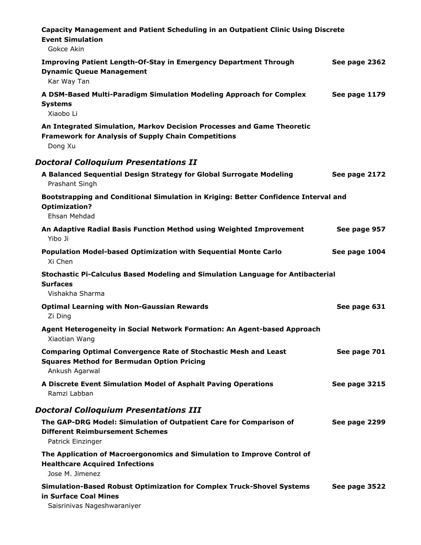| Capacity Management and Patient Scheduling in an Outpatient Clinic Using Discrete<br><b>Event Simulation</b><br>Gokce Akin                      |               |
|-------------------------------------------------------------------------------------------------------------------------------------------------|---------------|
| <b>Improving Patient Length-Of-Stay in Emergency Department Through</b><br><b>Dynamic Queue Management</b><br>Kar Way Tan                       | See page 2362 |
| A DSM-Based Multi-Paradigm Simulation Modeling Approach for Complex<br><b>Systems</b><br>Xiaobo Li                                              | See page 1179 |
| An Integrated Simulation, Markov Decision Processes and Game Theoretic<br><b>Framework for Analysis of Supply Chain Competitions</b><br>Dong Xu |               |
| <b>Doctoral Colloquium Presentations II</b>                                                                                                     |               |
| A Balanced Sequential Design Strategy for Global Surrogate Modeling<br>Prashant Singh                                                           | See page 2172 |
| Bootstrapping and Conditional Simulation in Kriging: Better Confidence Interval and<br><b>Optimization?</b><br>Ehsan Mehdad                     |               |
| An Adaptive Radial Basis Function Method using Weighted Improvement<br>Yibo Ji                                                                  | See page 957  |
| <b>Population Model-based Optimization with Sequential Monte Carlo</b><br>Xi Chen                                                               | See page 1004 |
| Stochastic Pi-Calculus Based Modeling and Simulation Language for Antibacterial<br><b>Surfaces</b><br>Vishakha Sharma                           |               |
| <b>Optimal Learning with Non-Gaussian Rewards</b><br>Zi Ding                                                                                    | See page 631  |
| Agent Heterogeneity in Social Network Formation: An Agent-based Approach<br>Xiaotian Wang                                                       |               |
| <b>Comparing Optimal Convergence Rate of Stochastic Mesh and Least</b><br><b>Squares Method for Bermudan Option Pricing</b><br>Ankush Agarwal   | See page 701  |
| A Discrete Event Simulation Model of Asphalt Paving Operations<br>Ramzi Labban                                                                  | See page 3215 |
| <b>Doctoral Colloquium Presentations III</b>                                                                                                    |               |
| The GAP-DRG Model: Simulation of Outpatient Care for Comparison of<br><b>Different Reimbursement Schemes</b><br>Patrick Einzinger               | See page 2299 |
| The Application of Macroergonomics and Simulation to Improve Control of<br><b>Healthcare Acquired Infections</b><br>Jose M. Jimenez             |               |
| <b>Simulation-Based Robust Optimization for Complex Truck-Shovel Systems</b><br>in Surface Coal Mines<br>Saisrinivas Nageshwaraniyer            | See page 3522 |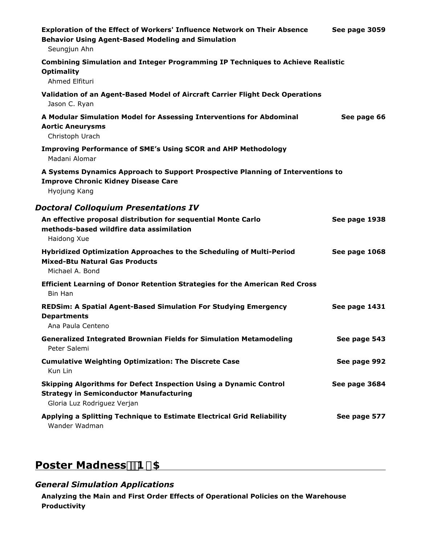| Exploration of the Effect of Workers' Influence Network on Their Absence<br><b>Behavior Using Agent-Based Modeling and Simulation</b><br>Seungjun Ahn | See page 3059 |
|-------------------------------------------------------------------------------------------------------------------------------------------------------|---------------|
| <b>Combining Simulation and Integer Programming IP Techniques to Achieve Realistic</b><br><b>Optimality</b><br>Ahmed Elfituri                         |               |
| Validation of an Agent-Based Model of Aircraft Carrier Flight Deck Operations<br>Jason C. Ryan                                                        |               |
| A Modular Simulation Model for Assessing Interventions for Abdominal<br><b>Aortic Aneurysms</b><br>Christoph Urach                                    | See page 66   |
| <b>Improving Performance of SME's Using SCOR and AHP Methodology</b><br>Madani Alomar                                                                 |               |
| A Systems Dynamics Approach to Support Prospective Planning of Interventions to<br><b>Improve Chronic Kidney Disease Care</b><br>Hyojung Kang         |               |
| <b>Doctoral Colloquium Presentations IV</b>                                                                                                           |               |
| An effective proposal distribution for sequential Monte Carlo<br>methods-based wildfire data assimilation<br>Haidong Xue                              | See page 1938 |
| Hybridized Optimization Approaches to the Scheduling of Multi-Period<br><b>Mixed-Btu Natural Gas Products</b><br>Michael A. Bond                      | See page 1068 |
| <b>Efficient Learning of Donor Retention Strategies for the American Red Cross</b><br>Bin Han                                                         |               |
| <b>REDSim: A Spatial Agent-Based Simulation For Studying Emergency</b><br><b>Departments</b><br>Ana Paula Centeno                                     | See page 1431 |
| <b>Generalized Integrated Brownian Fields for Simulation Metamodeling</b><br>Peter Salemi                                                             | See page 543  |
| <b>Cumulative Weighting Optimization: The Discrete Case</b><br>Kun Lin                                                                                | See page 992  |
| Skipping Algorithms for Defect Inspection Using a Dynamic Control<br><b>Strategy in Semiconductor Manufacturing</b><br>Gloria Luz Rodriguez Verjan    | See page 3684 |
| Applying a Splitting Technique to Estimate Electrical Grid Reliability<br>Wander Wadman                                                               | See page 577  |

## **Poster Madness1\$**

#### *General Simulation Applications*

**Analyzing the Main and First Order Effects of Operational Policies on the Warehouse Productivity**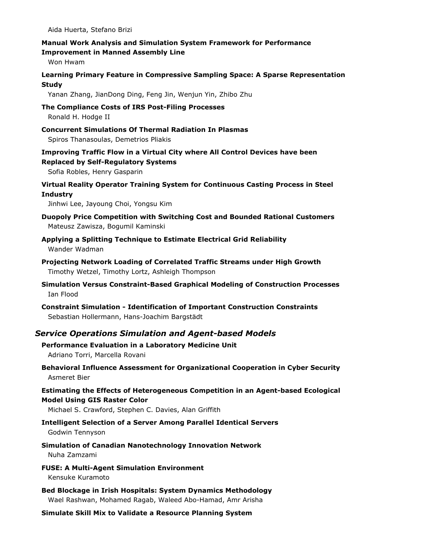Aida Huerta, Stefano Brizi

#### **Manual Work Analysis and Simulation System Framework for Performance Improvement in Manned Assembly Line**

Won Hwam

#### **Learning Primary Feature in Compressive Sampling Space: A Sparse Representation Study**

Yanan Zhang, JianDong Ding, Feng Jin, Wenjun Yin, Zhibo Zhu

#### **The Compliance Costs of IRS Post-Filing Processes** Ronald H. Hodge II

**Concurrent Simulations Of Thermal Radiation In Plasmas** Spiros Thanasoulas, Demetrios Pliakis

**Improving Traffic Flow in a Virtual City where All Control Devices have been Replaced by Self-Regulatory Systems**

Sofia Robles, Henry Gasparin

#### **Virtual Reality Operator Training System for Continuous Casting Process in Steel Industry**

Jinhwi Lee, Jayoung Choi, Yongsu Kim

- **Duopoly Price Competition with Switching Cost and Bounded Rational Customers** Mateusz Zawisza, Bogumil Kaminski
- **Applying a Splitting Technique to Estimate Electrical Grid Reliability** Wander Wadman
- **Projecting Network Loading of Correlated Traffic Streams under High Growth** Timothy Wetzel, Timothy Lortz, Ashleigh Thompson
- **Simulation Versus Constraint-Based Graphical Modeling of Construction Processes** Ian Flood
- **Constraint Simulation Identification of Important Construction Constraints** Sebastian Hollermann, Hans-Joachim Bargstädt

#### *Service Operations Simulation and Agent-based Models*

#### **Performance Evaluation in a Laboratory Medicine Unit** Adriano Torri, Marcella Rovani

**Behavioral Influence Assessment for Organizational Cooperation in Cyber Security** Asmeret Bier

#### **Estimating the Effects of Heterogeneous Competition in an Agent-based Ecological Model Using GIS Raster Color**

Michael S. Crawford, Stephen C. Davies, Alan Griffith

#### **Intelligent Selection of a Server Among Parallel Identical Servers** Godwin Tennyson

#### **Simulation of Canadian Nanotechnology Innovation Network** Nuha Zamzami

**FUSE: A Multi-Agent Simulation Environment** Kensuke Kuramoto

**Bed Blockage in Irish Hospitals: System Dynamics Methodology** Wael Rashwan, Mohamed Ragab, Waleed Abo-Hamad, Amr Arisha

**Simulate Skill Mix to Validate a Resource Planning System**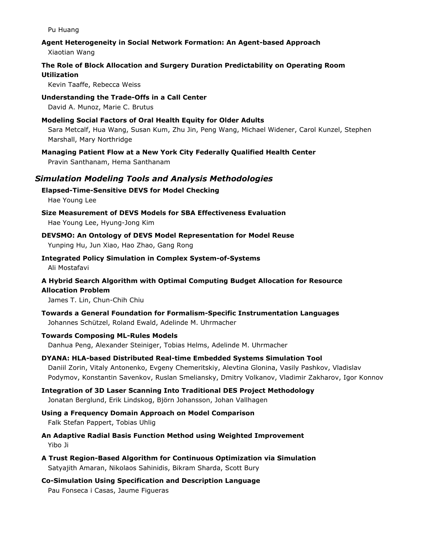Pu Huang

#### **Agent Heterogeneity in Social Network Formation: An Agent-based Approach**

Xiaotian Wang

#### **The Role of Block Allocation and Surgery Duration Predictability on Operating Room Utilization**

Kevin Taaffe, Rebecca Weiss

**Understanding the Trade-Offs in a Call Center** David A. Munoz, Marie C. Brutus

- **Modeling Social Factors of Oral Health Equity for Older Adults** Sara Metcalf, Hua Wang, Susan Kum, Zhu Jin, Peng Wang, Michael Widener, Carol Kunzel, Stephen Marshall, Mary Northridge
- **Managing Patient Flow at a New York City Federally Qualified Health Center** Pravin Santhanam, Hema Santhanam

#### *Simulation Modeling Tools and Analysis Methodologies*

**Elapsed-Time-Sensitive DEVS for Model Checking** Hae Young Lee

**Size Measurement of DEVS Models for SBA Effectiveness Evaluation** Hae Young Lee, Hyung-Jong Kim

- **DEVSMO: An Ontology of DEVS Model Representation for Model Reuse** Yunping Hu, Jun Xiao, Hao Zhao, Gang Rong
- **Integrated Policy Simulation in Complex System-of-Systems** Ali Mostafavi

#### **A Hybrid Search Algorithm with Optimal Computing Budget Allocation for Resource Allocation Problem**

James T. Lin, Chun-Chih Chiu

**Towards a General Foundation for Formalism-Specific Instrumentation Languages** Johannes Schützel, Roland Ewald, Adelinde M. Uhrmacher

#### **Towards Composing ML-Rules Models**

Danhua Peng, Alexander Steiniger, Tobias Helms, Adelinde M. Uhrmacher

**DYANA: HLA-based Distributed Real-time Embedded Systems Simulation Tool** Daniil Zorin, Vitaly Antonenko, Evgeny Chemeritskiy, Alevtina Glonina, Vasily Pashkov, Vladislav Podymov, Konstantin Savenkov, Ruslan Smeliansky, Dmitry Volkanov, Vladimir Zakharov, Igor Konnov

**Integration of 3D Laser Scanning Into Traditional DES Project Methodology** Jonatan Berglund, Erik Lindskog, Björn Johansson, Johan Vallhagen

**Using a Frequency Domain Approach on Model Comparison** Falk Stefan Pappert, Tobias Uhlig

**An Adaptive Radial Basis Function Method using Weighted Improvement** Yibo Ji

- **A Trust Region-Based Algorithm for Continuous Optimization via Simulation** Satyajith Amaran, Nikolaos Sahinidis, Bikram Sharda, Scott Bury
- **Co-Simulation Using Specification and Description Language** Pau Fonseca i Casas, Jaume Figueras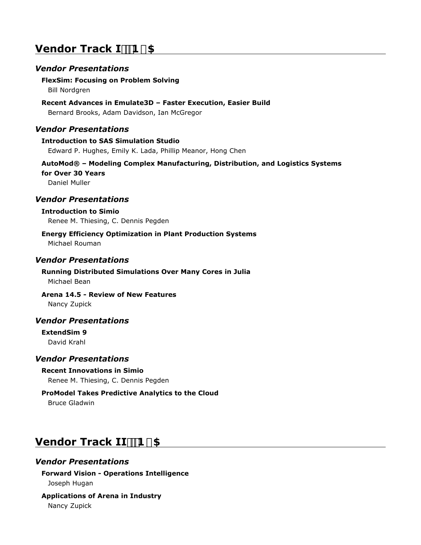### **Vendor Track I**<sup>11</sup>B#5

#### *Vendor Presentations*

#### **FlexSim: Focusing on Problem Solving**

Bill Nordgren

#### **Recent Advances in Emulate3D – Faster Execution, Easier Build**

Bernard Brooks, Adam Davidson, Ian McGregor

#### *Vendor Presentations*

#### **Introduction to SAS Simulation Studio** Edward P. Hughes, Emily K. Lada, Phillip Meanor, Hong Chen

#### **AutoMod® – Modeling Complex Manufacturing, Distribution, and Logistics Systems for Over 30 Years**

Daniel Muller

#### *Vendor Presentations*

#### **Introduction to Simio**

Renee M. Thiesing, C. Dennis Pegden

#### **Energy Efficiency Optimization in Plant Production Systems** Michael Rouman

#### *Vendor Presentations*

#### **Running Distributed Simulations Over Many Cores in Julia** Michael Bean

#### **Arena 14.5 - Review of New Features**

Nancy Zupick

#### *Vendor Presentations*

#### **ExtendSim 9** David Krahl

#### *Vendor Presentations*

#### **Recent Innovations in Simio**

Renee M. Thiesing, C. Dennis Pegden

## **ProModel Takes Predictive Analytics to the Cloud**

Bruce Gladwin

## **Vendor Track II**<sup>11</sup>B#5

#### *Vendor Presentations*

#### **Forward Vision - Operations Intelligence** Joseph Hugan

**Applications of Arena in Industry** Nancy Zupick